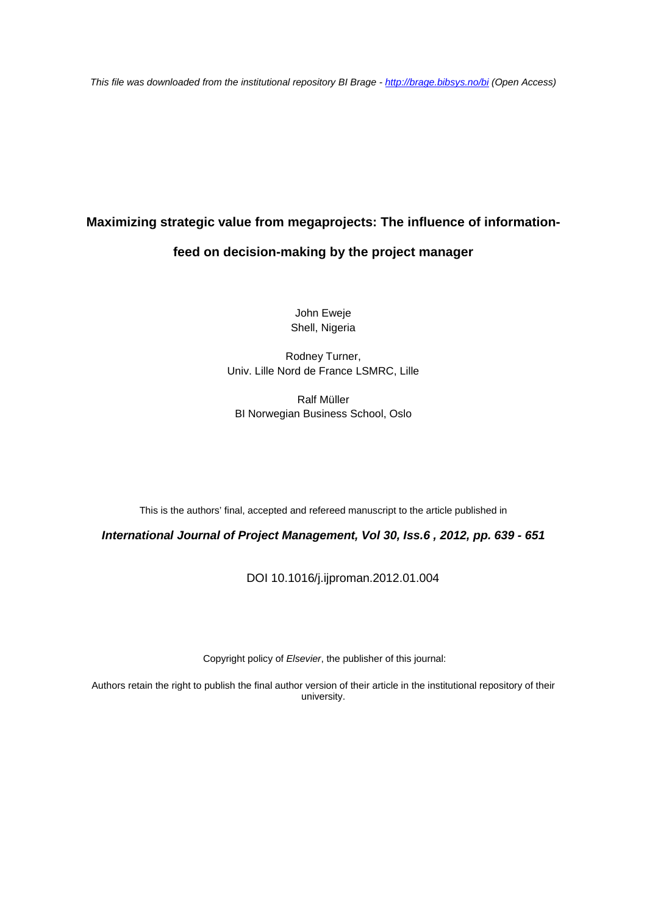*This file was downloaded from the institutional repository BI Brage - <http://brage.bibsys.no/bi> (Open Access)*

# **Maximizing strategic value from megaprojects: The influence of information-**

# **feed on decision-making by the project manager**

John Eweje Shell, Nigeria

Rodney Turner, Univ. Lille Nord de France LSMRC, Lille

Ralf Müller BI Norwegian Business School, Oslo

This is the authors' final, accepted and refereed manuscript to the article published in

*International Journal of Project Management, Vol 30, Iss.6 , 2012, pp. 639 - 651*

DOI 10.1016/j.ijproman.2012.01.004

Copyright policy of *Elsevier*, the publisher of this journal:

Authors retain the right to publish the final author version of their article in the institutional repository of their university.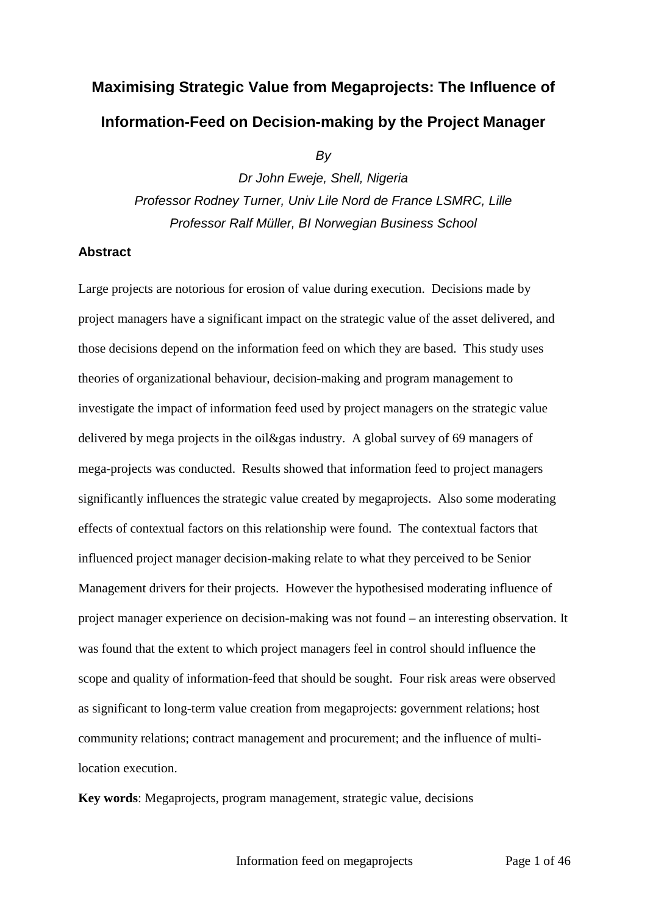# **Maximising Strategic Value from Megaprojects: The Influence of Information-Feed on Decision-making by the Project Manager**

*By*

*Dr John Eweje, Shell, Nigeria Professor Rodney Turner, Univ Lile Nord de France LSMRC, Lille Professor Ralf Müller, BI Norwegian Business School*

# **Abstract**

Large projects are notorious for erosion of value during execution. Decisions made by project managers have a significant impact on the strategic value of the asset delivered, and those decisions depend on the information feed on which they are based. This study uses theories of organizational behaviour, decision-making and program management to investigate the impact of information feed used by project managers on the strategic value delivered by mega projects in the oil&gas industry. A global survey of 69 managers of mega-projects was conducted. Results showed that information feed to project managers significantly influences the strategic value created by megaprojects. Also some moderating effects of contextual factors on this relationship were found. The contextual factors that influenced project manager decision-making relate to what they perceived to be Senior Management drivers for their projects. However the hypothesised moderating influence of project manager experience on decision-making was not found – an interesting observation. It was found that the extent to which project managers feel in control should influence the scope and quality of information-feed that should be sought. Four risk areas were observed as significant to long-term value creation from megaprojects: government relations; host community relations; contract management and procurement; and the influence of multilocation execution.

**Key words**: Megaprojects, program management, strategic value, decisions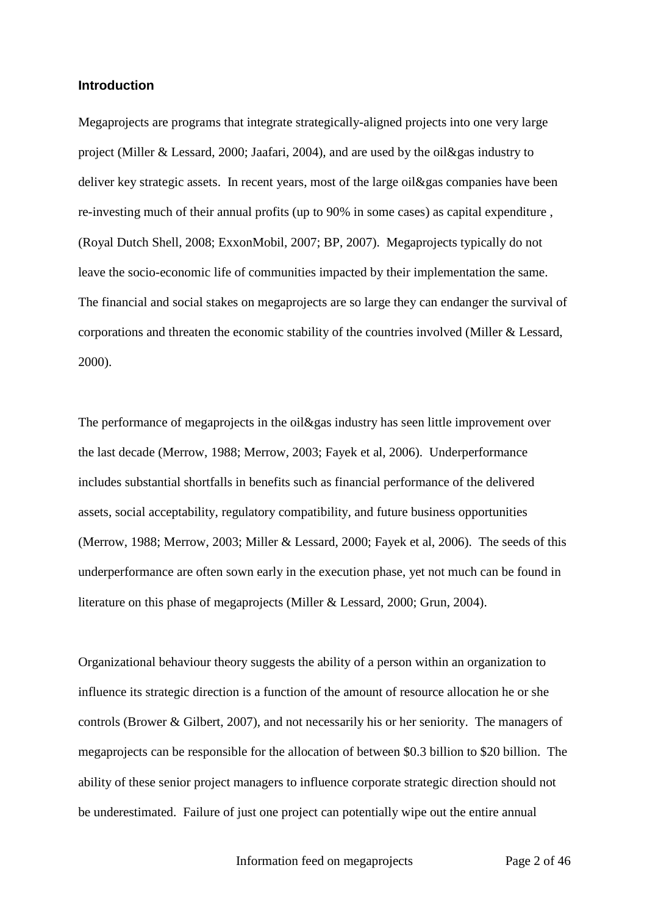#### **Introduction**

Megaprojects are programs that integrate strategically-aligned projects into one very large project (Miller & Lessard, 2000; Jaafari, 2004), and are used by the oil&gas industry to deliver key strategic assets. In recent years, most of the large oil&gas companies have been re-investing much of their annual profits (up to 90% in some cases) as capital expenditure , (Royal Dutch Shell, 2008; ExxonMobil, 2007; BP, 2007). Megaprojects typically do not leave the socio-economic life of communities impacted by their implementation the same. The financial and social stakes on megaprojects are so large they can endanger the survival of corporations and threaten the economic stability of the countries involved (Miller & Lessard, 2000).

The performance of megaprojects in the oil&gas industry has seen little improvement over the last decade (Merrow, 1988; Merrow, 2003; Fayek et al, 2006). Underperformance includes substantial shortfalls in benefits such as financial performance of the delivered assets, social acceptability, regulatory compatibility, and future business opportunities (Merrow, 1988; Merrow, 2003; Miller & Lessard, 2000; Fayek et al, 2006). The seeds of this underperformance are often sown early in the execution phase, yet not much can be found in literature on this phase of megaprojects (Miller & Lessard, 2000; Grun, 2004).

Organizational behaviour theory suggests the ability of a person within an organization to influence its strategic direction is a function of the amount of resource allocation he or she controls (Brower & Gilbert, 2007), and not necessarily his or her seniority. The managers of megaprojects can be responsible for the allocation of between \$0.3 billion to \$20 billion. The ability of these senior project managers to influence corporate strategic direction should not be underestimated. Failure of just one project can potentially wipe out the entire annual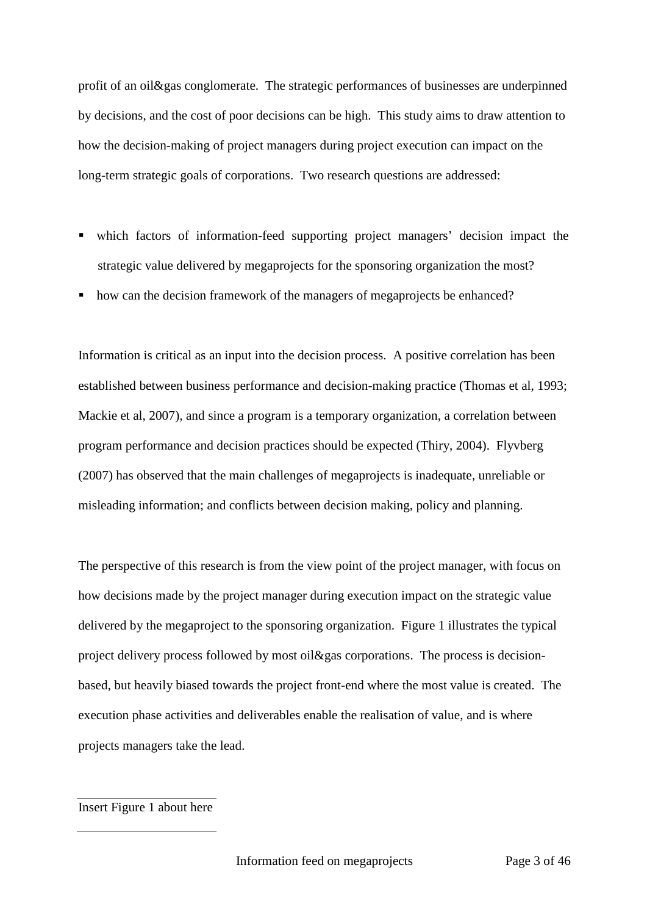profit of an oil&gas conglomerate. The strategic performances of businesses are underpinned by decisions, and the cost of poor decisions can be high. This study aims to draw attention to how the decision-making of project managers during project execution can impact on the long-term strategic goals of corporations. Two research questions are addressed:

- which factors of information-feed supporting project managers' decision impact the strategic value delivered by megaprojects for the sponsoring organization the most?
- how can the decision framework of the managers of megaprojects be enhanced?

Information is critical as an input into the decision process. A positive correlation has been established between business performance and decision-making practice (Thomas et al, 1993; Mackie et al, 2007), and since a program is a temporary organization, a correlation between program performance and decision practices should be expected (Thiry, 2004). Flyvberg (2007) has observed that the main challenges of megaprojects is inadequate, unreliable or misleading information; and conflicts between decision making, policy and planning.

The perspective of this research is from the view point of the project manager, with focus on how decisions made by the project manager during execution impact on the strategic value delivered by the megaproject to the sponsoring organization. Figure 1 illustrates the typical project delivery process followed by most oil&gas corporations. The process is decisionbased, but heavily biased towards the project front-end where the most value is created. The execution phase activities and deliverables enable the realisation of value, and is where projects managers take the lead.

Insert Figure 1 about here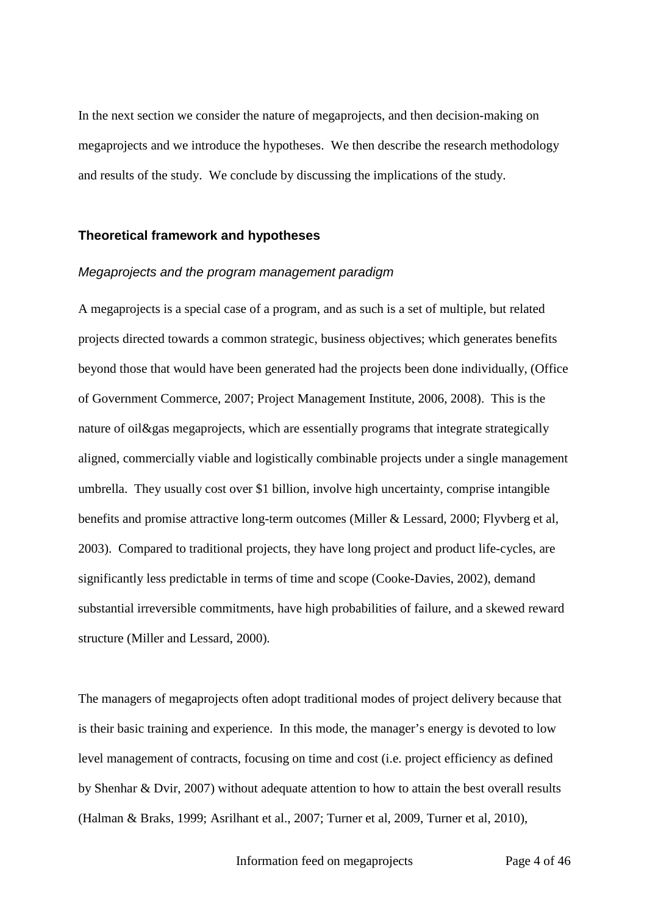In the next section we consider the nature of megaprojects, and then decision-making on megaprojects and we introduce the hypotheses. We then describe the research methodology and results of the study. We conclude by discussing the implications of the study.

#### **Theoretical framework and hypotheses**

#### *Megaprojects and the program management paradigm*

A megaprojects is a special case of a program, and as such is a set of multiple, but related projects directed towards a common strategic, business objectives; which generates benefits beyond those that would have been generated had the projects been done individually, (Office of Government Commerce, 2007; Project Management Institute, 2006, 2008). This is the nature of oil&gas megaprojects, which are essentially programs that integrate strategically aligned, commercially viable and logistically combinable projects under a single management umbrella. They usually cost over \$1 billion, involve high uncertainty, comprise intangible benefits and promise attractive long-term outcomes (Miller & Lessard, 2000; Flyvberg et al, 2003). Compared to traditional projects, they have long project and product life-cycles, are significantly less predictable in terms of time and scope (Cooke-Davies, 2002), demand substantial irreversible commitments, have high probabilities of failure, and a skewed reward structure (Miller and Lessard, 2000).

The managers of megaprojects often adopt traditional modes of project delivery because that is their basic training and experience. In this mode, the manager's energy is devoted to low level management of contracts, focusing on time and cost (i.e. project efficiency as defined by Shenhar & Dvir, 2007) without adequate attention to how to attain the best overall results (Halman & Braks, 1999; Asrilhant et al., 2007; Turner et al, 2009, Turner et al, 2010),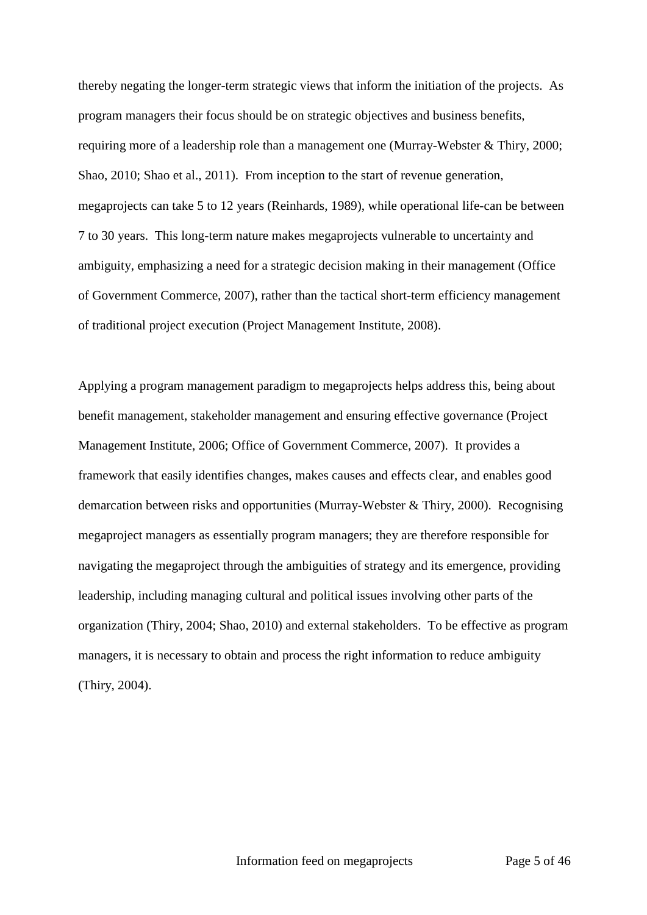thereby negating the longer-term strategic views that inform the initiation of the projects. As program managers their focus should be on strategic objectives and business benefits, requiring more of a leadership role than a management one (Murray-Webster & Thiry, 2000; Shao, 2010; Shao et al., 2011). From inception to the start of revenue generation, megaprojects can take 5 to 12 years (Reinhards, 1989), while operational life-can be between 7 to 30 years. This long-term nature makes megaprojects vulnerable to uncertainty and ambiguity, emphasizing a need for a strategic decision making in their management (Office of Government Commerce, 2007), rather than the tactical short-term efficiency management of traditional project execution (Project Management Institute, 2008).

Applying a program management paradigm to megaprojects helps address this, being about benefit management, stakeholder management and ensuring effective governance (Project Management Institute, 2006; Office of Government Commerce, 2007). It provides a framework that easily identifies changes, makes causes and effects clear, and enables good demarcation between risks and opportunities (Murray-Webster & Thiry, 2000). Recognising megaproject managers as essentially program managers; they are therefore responsible for navigating the megaproject through the ambiguities of strategy and its emergence, providing leadership, including managing cultural and political issues involving other parts of the organization (Thiry, 2004; Shao, 2010) and external stakeholders. To be effective as program managers, it is necessary to obtain and process the right information to reduce ambiguity (Thiry, 2004).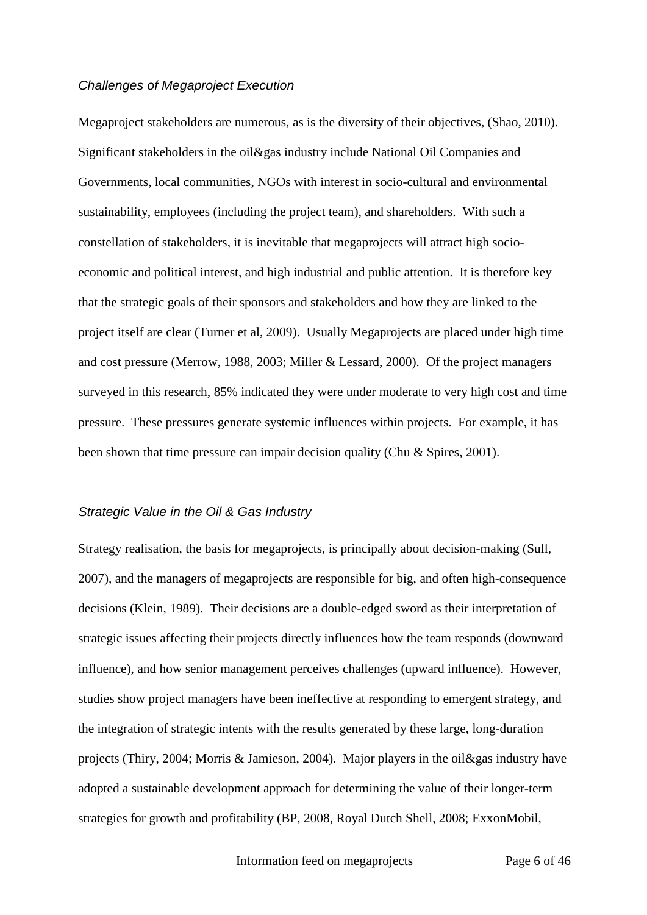#### *Challenges of Megaproject Execution*

Megaproject stakeholders are numerous, as is the diversity of their objectives, (Shao, 2010). Significant stakeholders in the oil&gas industry include National Oil Companies and Governments, local communities, NGOs with interest in socio-cultural and environmental sustainability, employees (including the project team), and shareholders. With such a constellation of stakeholders, it is inevitable that megaprojects will attract high socioeconomic and political interest, and high industrial and public attention. It is therefore key that the strategic goals of their sponsors and stakeholders and how they are linked to the project itself are clear (Turner et al, 2009). Usually Megaprojects are placed under high time and cost pressure (Merrow, 1988, 2003; Miller & Lessard, 2000). Of the project managers surveyed in this research, 85% indicated they were under moderate to very high cost and time pressure. These pressures generate systemic influences within projects. For example, it has been shown that time pressure can impair decision quality (Chu & Spires, 2001).

#### *Strategic Value in the Oil & Gas Industry*

Strategy realisation, the basis for megaprojects, is principally about decision-making (Sull, 2007), and the managers of megaprojects are responsible for big, and often high-consequence decisions (Klein, 1989). Their decisions are a double-edged sword as their interpretation of strategic issues affecting their projects directly influences how the team responds (downward influence), and how senior management perceives challenges (upward influence). However, studies show project managers have been ineffective at responding to emergent strategy, and the integration of strategic intents with the results generated by these large, long-duration projects (Thiry, 2004; Morris & Jamieson, 2004). Major players in the oil&gas industry have adopted a sustainable development approach for determining the value of their longer-term strategies for growth and profitability (BP, 2008, Royal Dutch Shell, 2008; ExxonMobil,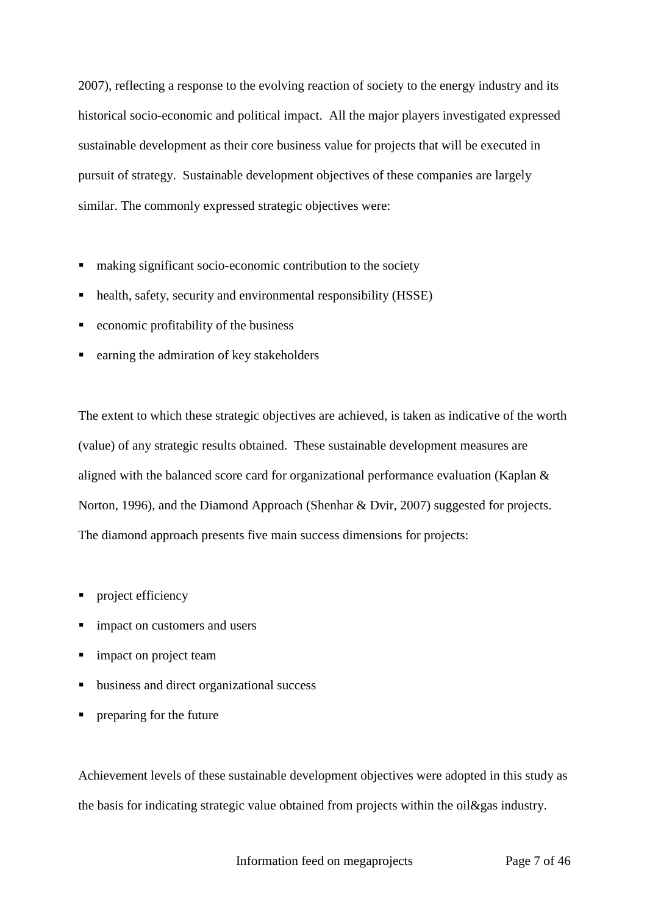2007), reflecting a response to the evolving reaction of society to the energy industry and its historical socio-economic and political impact. All the major players investigated expressed sustainable development as their core business value for projects that will be executed in pursuit of strategy. Sustainable development objectives of these companies are largely similar. The commonly expressed strategic objectives were:

- making significant socio-economic contribution to the society
- health, safety, security and environmental responsibility (HSSE)
- economic profitability of the business
- earning the admiration of key stakeholders

The extent to which these strategic objectives are achieved, is taken as indicative of the worth (value) of any strategic results obtained. These sustainable development measures are aligned with the balanced score card for organizational performance evaluation (Kaplan & Norton, 1996), and the Diamond Approach (Shenhar & Dvir, 2007) suggested for projects. The diamond approach presents five main success dimensions for projects:

- project efficiency
- impact on customers and users
- impact on project team
- business and direct organizational success
- **Particle** preparing for the future

Achievement levels of these sustainable development objectives were adopted in this study as the basis for indicating strategic value obtained from projects within the oil&gas industry.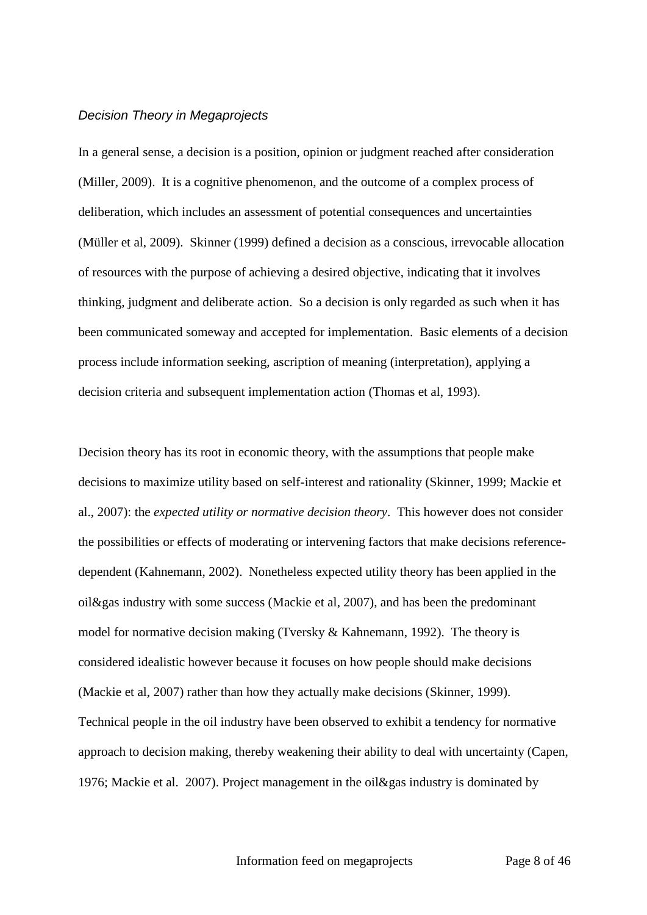#### *Decision Theory in Megaprojects*

In a general sense, a decision is a position, opinion or judgment reached after consideration (Miller, 2009). It is a cognitive phenomenon, and the outcome of a complex process of deliberation, which includes an assessment of potential consequences and uncertainties (Müller et al, 2009). Skinner (1999) defined a decision as a conscious, irrevocable allocation of resources with the purpose of achieving a desired objective, indicating that it involves thinking, judgment and deliberate action. So a decision is only regarded as such when it has been communicated someway and accepted for implementation. Basic elements of a decision process include information seeking, ascription of meaning (interpretation), applying a decision criteria and subsequent implementation action (Thomas et al, 1993).

Decision theory has its root in economic theory, with the assumptions that people make decisions to maximize utility based on self-interest and rationality (Skinner, 1999; Mackie et al., 2007): the *expected utility or normative decision theory*. This however does not consider the possibilities or effects of moderating or intervening factors that make decisions referencedependent (Kahnemann, 2002). Nonetheless expected utility theory has been applied in the oil&gas industry with some success (Mackie et al, 2007), and has been the predominant model for normative decision making (Tversky & Kahnemann, 1992). The theory is considered idealistic however because it focuses on how people should make decisions (Mackie et al, 2007) rather than how they actually make decisions (Skinner, 1999). Technical people in the oil industry have been observed to exhibit a tendency for normative approach to decision making, thereby weakening their ability to deal with uncertainty (Capen, 1976; Mackie et al. 2007). Project management in the oil&gas industry is dominated by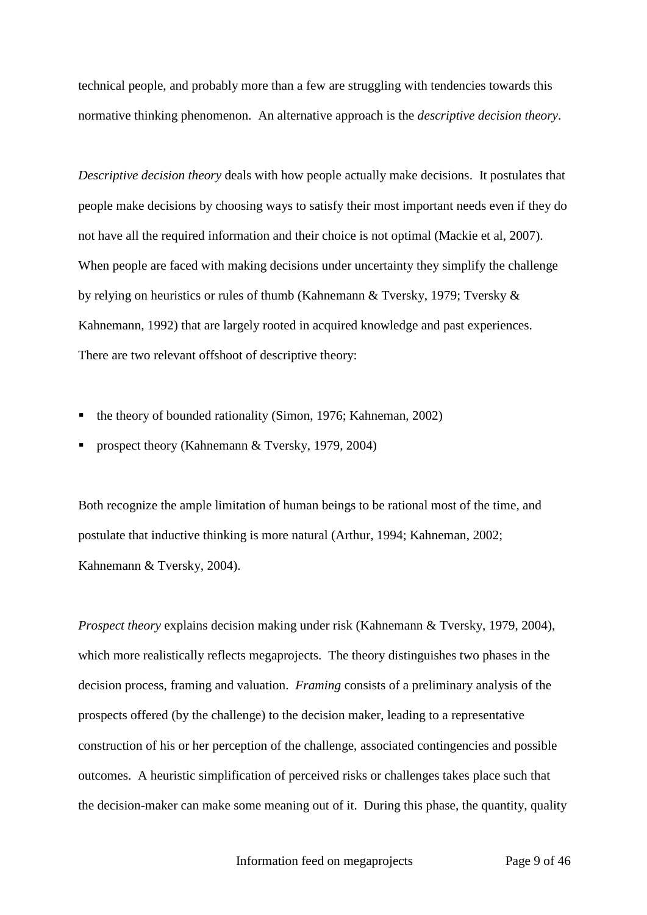technical people, and probably more than a few are struggling with tendencies towards this normative thinking phenomenon. An alternative approach is the *descriptive decision theory*.

*Descriptive decision theory* deals with how people actually make decisions. It postulates that people make decisions by choosing ways to satisfy their most important needs even if they do not have all the required information and their choice is not optimal (Mackie et al, 2007). When people are faced with making decisions under uncertainty they simplify the challenge by relying on heuristics or rules of thumb (Kahnemann & Tversky, 1979; Tversky & Kahnemann, 1992) that are largely rooted in acquired knowledge and past experiences. There are two relevant offshoot of descriptive theory:

- the theory of bounded rationality (Simon, 1976; Kahneman, 2002)
- **prospect theory (Kahnemann & Tversky, 1979, 2004)**

Both recognize the ample limitation of human beings to be rational most of the time, and postulate that inductive thinking is more natural (Arthur, 1994; Kahneman, 2002; Kahnemann & Tversky, 2004).

*Prospect theory* explains decision making under risk (Kahnemann & Tversky, 1979, 2004), which more realistically reflects megaprojects. The theory distinguishes two phases in the decision process, framing and valuation. *Framing* consists of a preliminary analysis of the prospects offered (by the challenge) to the decision maker, leading to a representative construction of his or her perception of the challenge, associated contingencies and possible outcomes. A heuristic simplification of perceived risks or challenges takes place such that the decision-maker can make some meaning out of it. During this phase, the quantity, quality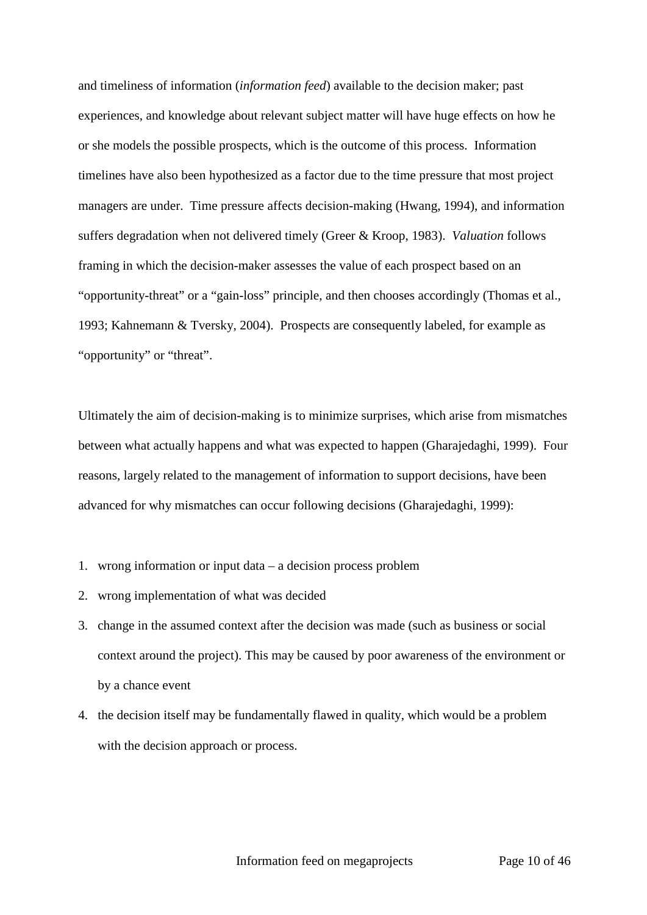and timeliness of information (*information feed*) available to the decision maker; past experiences, and knowledge about relevant subject matter will have huge effects on how he or she models the possible prospects, which is the outcome of this process. Information timelines have also been hypothesized as a factor due to the time pressure that most project managers are under. Time pressure affects decision-making (Hwang, 1994), and information suffers degradation when not delivered timely (Greer & Kroop, 1983). *Valuation* follows framing in which the decision-maker assesses the value of each prospect based on an "opportunity-threat" or a "gain-loss" principle, and then chooses accordingly (Thomas et al., 1993; Kahnemann & Tversky, 2004). Prospects are consequently labeled, for example as "opportunity" or "threat".

Ultimately the aim of decision-making is to minimize surprises, which arise from mismatches between what actually happens and what was expected to happen (Gharajedaghi, 1999). Four reasons, largely related to the management of information to support decisions, have been advanced for why mismatches can occur following decisions (Gharajedaghi, 1999):

- 1. wrong information or input data a decision process problem
- 2. wrong implementation of what was decided
- 3. change in the assumed context after the decision was made (such as business or social context around the project). This may be caused by poor awareness of the environment or by a chance event
- 4. the decision itself may be fundamentally flawed in quality, which would be a problem with the decision approach or process.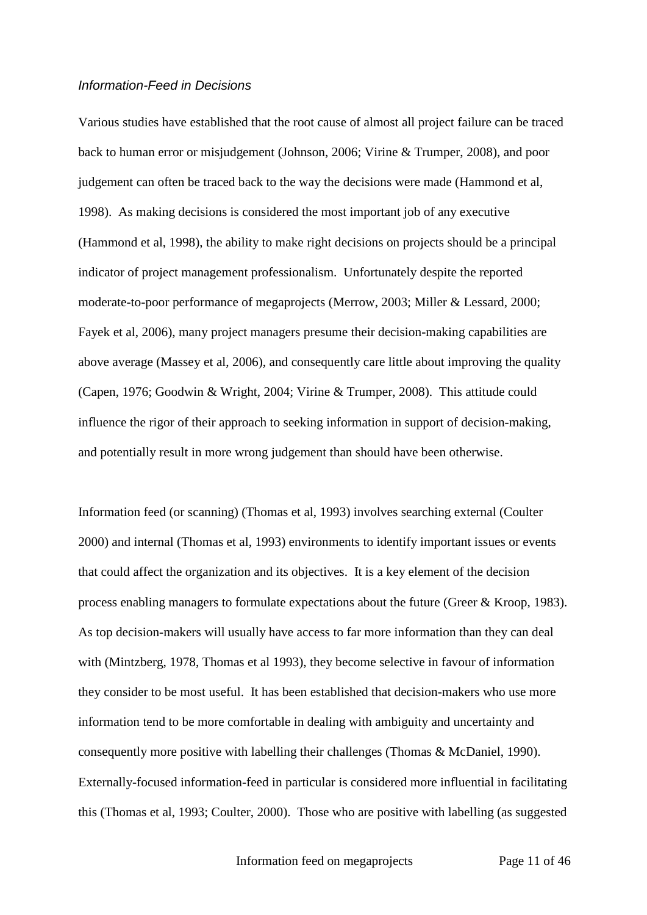### *Information-Feed in Decisions*

Various studies have established that the root cause of almost all project failure can be traced back to human error or misjudgement (Johnson, 2006; Virine & Trumper, 2008), and poor judgement can often be traced back to the way the decisions were made (Hammond et al, 1998). As making decisions is considered the most important job of any executive (Hammond et al, 1998), the ability to make right decisions on projects should be a principal indicator of project management professionalism. Unfortunately despite the reported moderate-to-poor performance of megaprojects (Merrow, 2003; Miller & Lessard, 2000; Fayek et al, 2006), many project managers presume their decision-making capabilities are above average (Massey et al, 2006), and consequently care little about improving the quality (Capen, 1976; Goodwin & Wright, 2004; Virine & Trumper, 2008). This attitude could influence the rigor of their approach to seeking information in support of decision-making, and potentially result in more wrong judgement than should have been otherwise.

Information feed (or scanning) (Thomas et al, 1993) involves searching external (Coulter 2000) and internal (Thomas et al, 1993) environments to identify important issues or events that could affect the organization and its objectives. It is a key element of the decision process enabling managers to formulate expectations about the future (Greer & Kroop, 1983). As top decision-makers will usually have access to far more information than they can deal with (Mintzberg, 1978, Thomas et al 1993), they become selective in favour of information they consider to be most useful. It has been established that decision-makers who use more information tend to be more comfortable in dealing with ambiguity and uncertainty and consequently more positive with labelling their challenges (Thomas & McDaniel, 1990). Externally-focused information-feed in particular is considered more influential in facilitating this (Thomas et al, 1993; Coulter, 2000). Those who are positive with labelling (as suggested

Information feed on megaprojects Page 11 of 46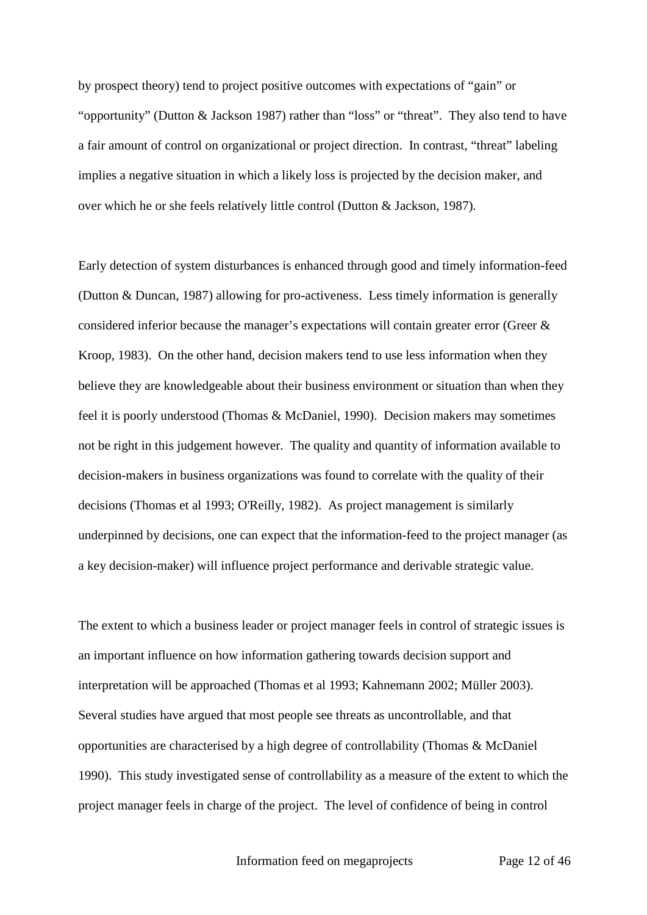by prospect theory) tend to project positive outcomes with expectations of "gain" or "opportunity" (Dutton & Jackson 1987) rather than "loss" or "threat". They also tend to have a fair amount of control on organizational or project direction. In contrast, "threat" labeling implies a negative situation in which a likely loss is projected by the decision maker, and over which he or she feels relatively little control (Dutton & Jackson, 1987)*.*

Early detection of system disturbances is enhanced through good and timely information-feed (Dutton & Duncan, 1987) allowing for pro-activeness. Less timely information is generally considered inferior because the manager's expectations will contain greater error (Greer & Kroop, 1983). On the other hand, decision makers tend to use less information when they believe they are knowledgeable about their business environment or situation than when they feel it is poorly understood (Thomas & McDaniel, 1990). Decision makers may sometimes not be right in this judgement however. The quality and quantity of information available to decision-makers in business organizations was found to correlate with the quality of their decisions (Thomas et al 1993; O'Reilly, 1982). As project management is similarly underpinned by decisions, one can expect that the information-feed to the project manager (as a key decision-maker) will influence project performance and derivable strategic value.

The extent to which a business leader or project manager feels in control of strategic issues is an important influence on how information gathering towards decision support and interpretation will be approached (Thomas et al 1993; Kahnemann 2002; Müller 2003). Several studies have argued that most people see threats as uncontrollable, and that opportunities are characterised by a high degree of controllability (Thomas & McDaniel 1990). This study investigated sense of controllability as a measure of the extent to which the project manager feels in charge of the project. The level of confidence of being in control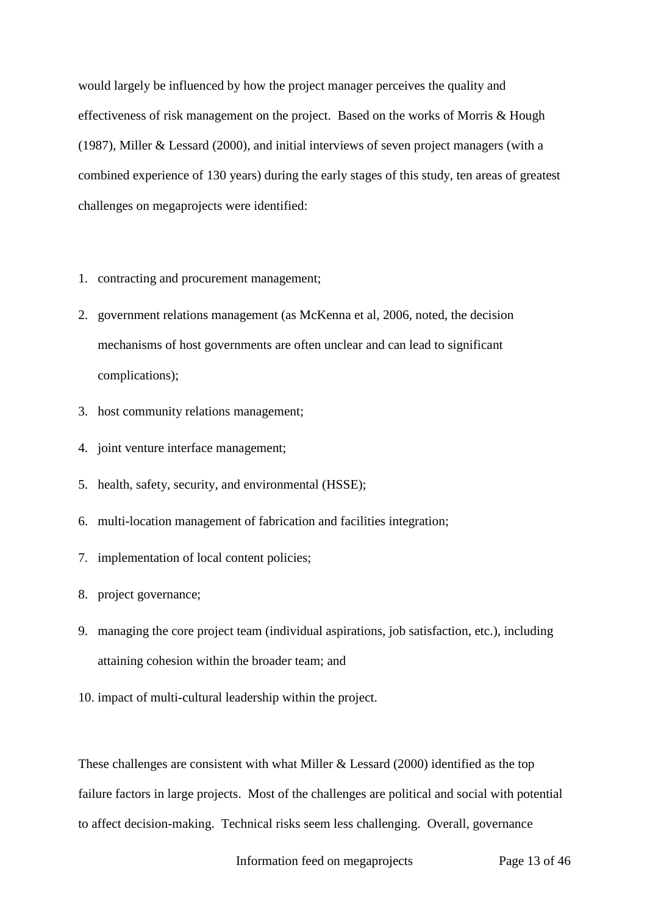would largely be influenced by how the project manager perceives the quality and effectiveness of risk management on the project. Based on the works of Morris & Hough (1987), Miller & Lessard (2000), and initial interviews of seven project managers (with a combined experience of 130 years) during the early stages of this study, ten areas of greatest challenges on megaprojects were identified:

- 1. contracting and procurement management;
- 2. government relations management (as McKenna et al, 2006, noted, the decision mechanisms of host governments are often unclear and can lead to significant complications);
- 3. host community relations management;
- 4. joint venture interface management;
- 5. health, safety, security, and environmental (HSSE);
- 6. multi-location management of fabrication and facilities integration;
- 7. implementation of local content policies;
- 8. project governance;
- 9. managing the core project team (individual aspirations, job satisfaction, etc.), including attaining cohesion within the broader team; and
- 10. impact of multi-cultural leadership within the project.

These challenges are consistent with what Miller & Lessard (2000) identified as the top failure factors in large projects. Most of the challenges are political and social with potential to affect decision-making. Technical risks seem less challenging. Overall, governance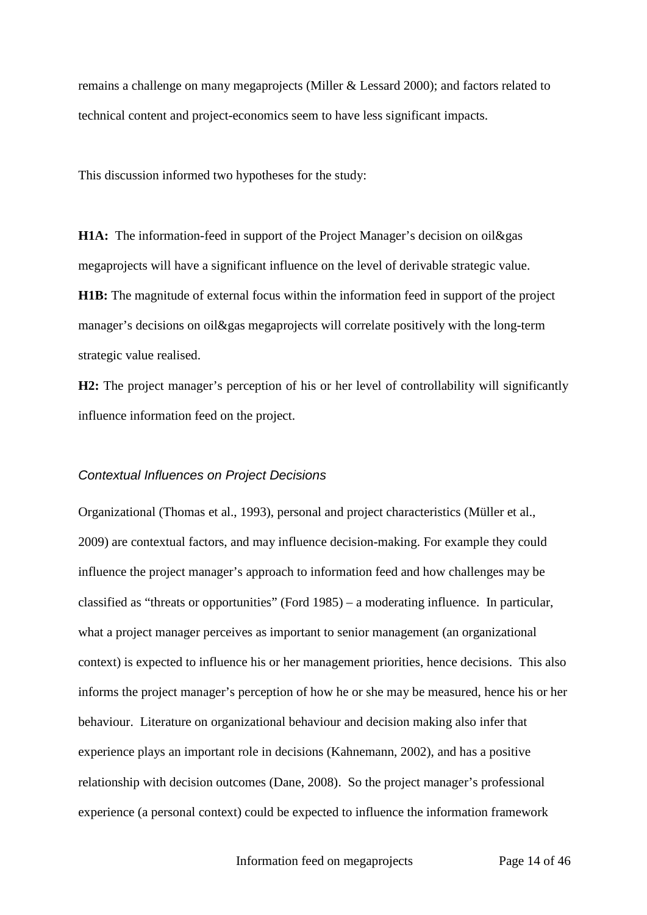remains a challenge on many megaprojects (Miller & Lessard 2000); and factors related to technical content and project-economics seem to have less significant impacts.

This discussion informed two hypotheses for the study:

**H1A:** The information-feed in support of the Project Manager's decision on oil&gas megaprojects will have a significant influence on the level of derivable strategic value. **H1B:** The magnitude of external focus within the information feed in support of the project manager's decisions on oil&gas megaprojects will correlate positively with the long-term strategic value realised.

**H2:** The project manager's perception of his or her level of controllability will significantly influence information feed on the project.

#### *Contextual Influences on Project Decisions*

Organizational (Thomas et al., 1993), personal and project characteristics (Müller et al., 2009) are contextual factors, and may influence decision-making. For example they could influence the project manager's approach to information feed and how challenges may be classified as "threats or opportunities" (Ford 1985) – a moderating influence. In particular, what a project manager perceives as important to senior management (an organizational context) is expected to influence his or her management priorities, hence decisions. This also informs the project manager's perception of how he or she may be measured, hence his or her behaviour. Literature on organizational behaviour and decision making also infer that experience plays an important role in decisions (Kahnemann, 2002), and has a positive relationship with decision outcomes (Dane, 2008). So the project manager's professional experience (a personal context) could be expected to influence the information framework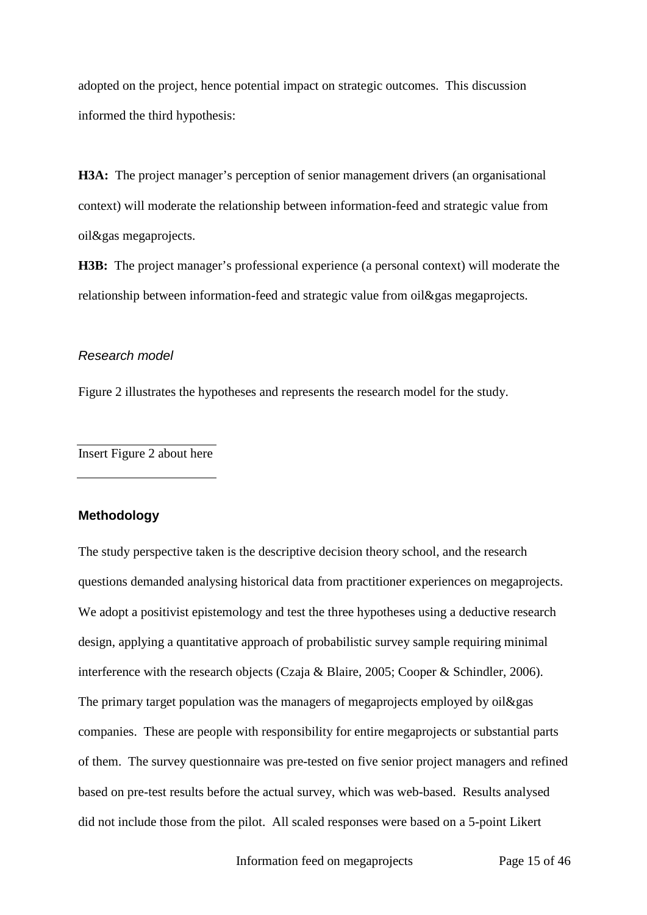adopted on the project, hence potential impact on strategic outcomes. This discussion informed the third hypothesis:

**H3A:** The project manager's perception of senior management drivers (an organisational context) will moderate the relationship between information-feed and strategic value from oil&gas megaprojects.

**H3B:** The project manager's professional experience (a personal context) will moderate the relationship between information-feed and strategic value from oil&gas megaprojects.

#### *Research model*

Figure 2 illustrates the hypotheses and represents the research model for the study.

Insert Figure 2 about here

#### **Methodology**

The study perspective taken is the descriptive decision theory school, and the research questions demanded analysing historical data from practitioner experiences on megaprojects. We adopt a positivist epistemology and test the three hypotheses using a deductive research design, applying a quantitative approach of probabilistic survey sample requiring minimal interference with the research objects (Czaja & Blaire, 2005; Cooper & Schindler, 2006). The primary target population was the managers of megaprojects employed by oil&gas companies. These are people with responsibility for entire megaprojects or substantial parts of them. The survey questionnaire was pre-tested on five senior project managers and refined based on pre-test results before the actual survey, which was web-based. Results analysed did not include those from the pilot. All scaled responses were based on a 5-point Likert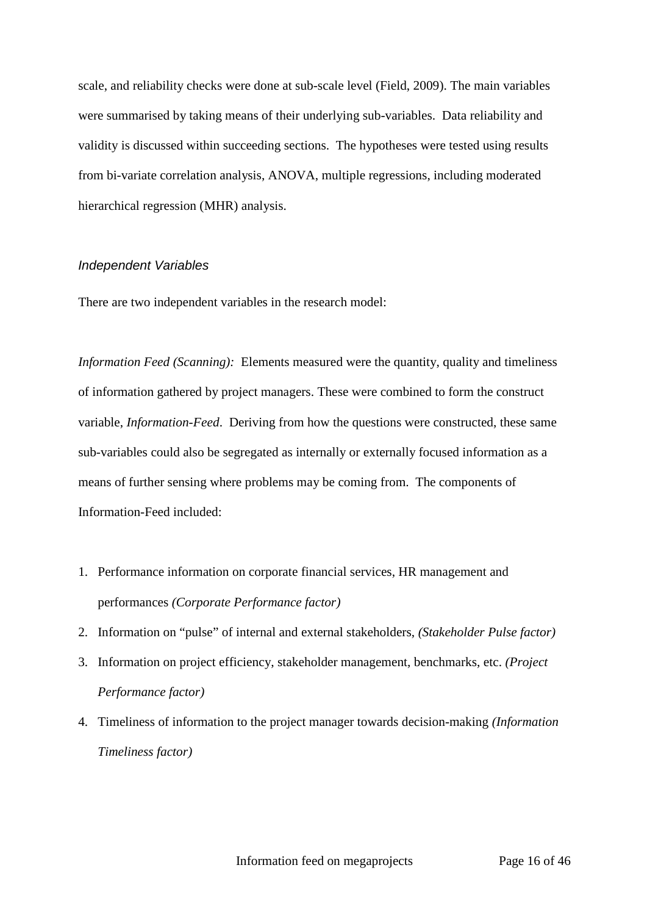scale, and reliability checks were done at sub-scale level (Field, 2009). The main variables were summarised by taking means of their underlying sub-variables. Data reliability and validity is discussed within succeeding sections. The hypotheses were tested using results from bi-variate correlation analysis, ANOVA, multiple regressions, including moderated hierarchical regression (MHR) analysis.

#### *Independent Variables*

There are two independent variables in the research model:

*Information Feed (Scanning):* Elements measured were the quantity, quality and timeliness of information gathered by project managers. These were combined to form the construct variable, *Information-Feed*. Deriving from how the questions were constructed, these same sub-variables could also be segregated as internally or externally focused information as a means of further sensing where problems may be coming from. The components of Information-Feed included:

- 1. Performance information on corporate financial services, HR management and performances *(Corporate Performance factor)*
- 2. Information on "pulse" of internal and external stakeholders, *(Stakeholder Pulse factor)*
- 3. Information on project efficiency, stakeholder management, benchmarks, etc. *(Project Performance factor)*
- 4. Timeliness of information to the project manager towards decision-making *(Information Timeliness factor)*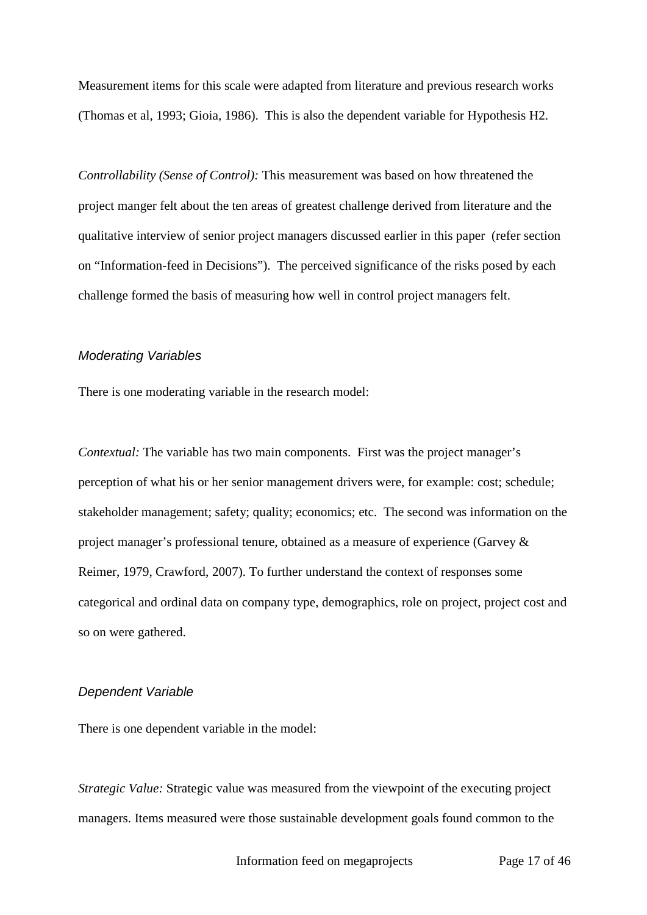Measurement items for this scale were adapted from literature and previous research works (Thomas et al, 1993; Gioia, 1986). This is also the dependent variable for Hypothesis H2.

*Controllability (Sense of Control):* This measurement was based on how threatened the project manger felt about the ten areas of greatest challenge derived from literature and the qualitative interview of senior project managers discussed earlier in this paper (refer section on "Information-feed in Decisions"). The perceived significance of the risks posed by each challenge formed the basis of measuring how well in control project managers felt.

#### *Moderating Variables*

There is one moderating variable in the research model:

*Contextual:* The variable has two main components. First was the project manager's perception of what his or her senior management drivers were, for example: cost; schedule; stakeholder management; safety; quality; economics; etc. The second was information on the project manager's professional tenure, obtained as a measure of experience (Garvey & Reimer, 1979, Crawford, 2007). To further understand the context of responses some categorical and ordinal data on company type, demographics, role on project, project cost and so on were gathered.

#### *Dependent Variable*

There is one dependent variable in the model:

*Strategic Value:* Strategic value was measured from the viewpoint of the executing project managers. Items measured were those sustainable development goals found common to the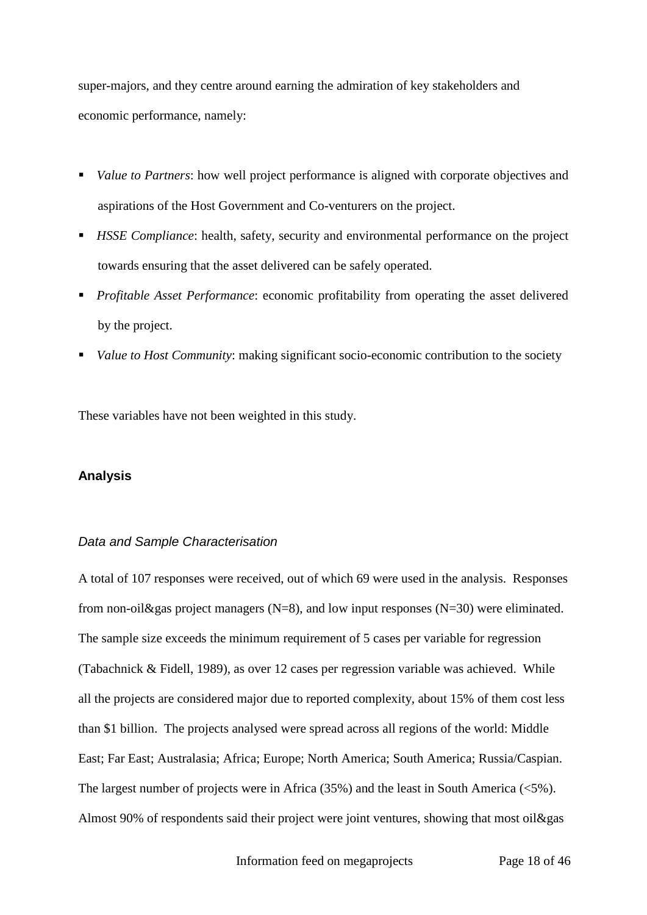super-majors, and they centre around earning the admiration of key stakeholders and economic performance, namely:

- *Value to Partners*: how well project performance is aligned with corporate objectives and aspirations of the Host Government and Co-venturers on the project.
- *HSSE Compliance*: health, safety, security and environmental performance on the project towards ensuring that the asset delivered can be safely operated.
- *Profitable Asset Performance*: economic profitability from operating the asset delivered by the project.
- *Value to Host Community*: making significant socio-economic contribution to the society

These variables have not been weighted in this study.

#### **Analysis**

## *Data and Sample Characterisation*

A total of 107 responses were received, out of which 69 were used in the analysis. Responses from non-oil & gas project managers  $(N=8)$ , and low input responses  $(N=30)$  were eliminated. The sample size exceeds the minimum requirement of 5 cases per variable for regression (Tabachnick & Fidell, 1989), as over 12 cases per regression variable was achieved. While all the projects are considered major due to reported complexity, about 15% of them cost less than \$1 billion. The projects analysed were spread across all regions of the world: Middle East; Far East; Australasia; Africa; Europe; North America; South America; Russia/Caspian. The largest number of projects were in Africa (35%) and the least in South America (<5%). Almost 90% of respondents said their project were joint ventures, showing that most oil&gas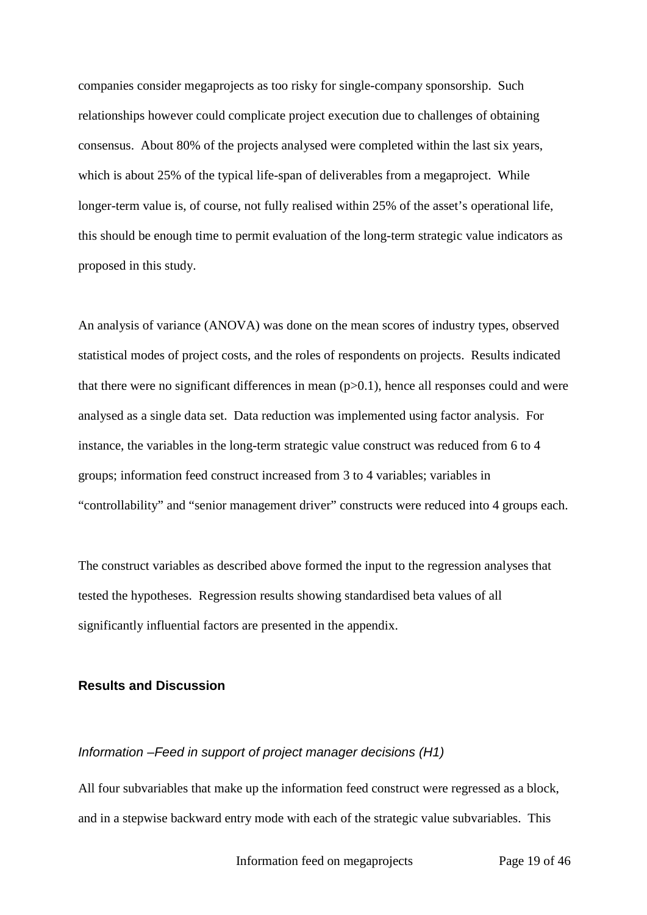companies consider megaprojects as too risky for single-company sponsorship. Such relationships however could complicate project execution due to challenges of obtaining consensus. About 80% of the projects analysed were completed within the last six years, which is about 25% of the typical life-span of deliverables from a megaproject. While longer-term value is, of course, not fully realised within 25% of the asset's operational life, this should be enough time to permit evaluation of the long-term strategic value indicators as proposed in this study.

An analysis of variance (ANOVA) was done on the mean scores of industry types, observed statistical modes of project costs, and the roles of respondents on projects. Results indicated that there were no significant differences in mean  $(p>0.1)$ , hence all responses could and were analysed as a single data set. Data reduction was implemented using factor analysis. For instance, the variables in the long-term strategic value construct was reduced from 6 to 4 groups; information feed construct increased from 3 to 4 variables; variables in "controllability" and "senior management driver" constructs were reduced into 4 groups each.

The construct variables as described above formed the input to the regression analyses that tested the hypotheses. Regression results showing standardised beta values of all significantly influential factors are presented in the appendix.

# **Results and Discussion**

# *Information –Feed in support of project manager decisions (H1)*

All four subvariables that make up the information feed construct were regressed as a block, and in a stepwise backward entry mode with each of the strategic value subvariables. This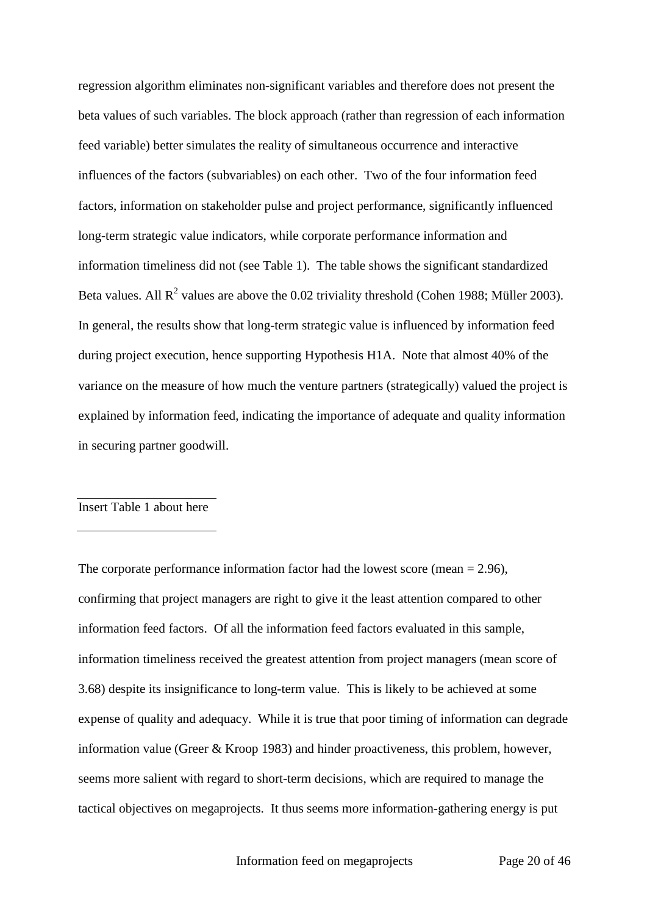regression algorithm eliminates non-significant variables and therefore does not present the beta values of such variables. The block approach (rather than regression of each information feed variable) better simulates the reality of simultaneous occurrence and interactive influences of the factors (subvariables) on each other. Two of the four information feed factors, information on stakeholder pulse and project performance, significantly influenced long-term strategic value indicators, while corporate performance information and information timeliness did not (see Table 1). The table shows the significant standardized Beta values. All  $R^2$  values are above the 0.02 triviality threshold (Cohen 1988; Müller 2003). In general, the results show that long-term strategic value is influenced by information feed during project execution, hence supporting Hypothesis H1A. Note that almost 40% of the variance on the measure of how much the venture partners (strategically) valued the project is explained by information feed, indicating the importance of adequate and quality information in securing partner goodwill.

# Insert Table 1 about here

The corporate performance information factor had the lowest score (mean  $= 2.96$ ), confirming that project managers are right to give it the least attention compared to other information feed factors. Of all the information feed factors evaluated in this sample, information timeliness received the greatest attention from project managers (mean score of 3.68) despite its insignificance to long-term value. This is likely to be achieved at some expense of quality and adequacy. While it is true that poor timing of information can degrade information value (Greer & Kroop 1983) and hinder proactiveness, this problem, however, seems more salient with regard to short-term decisions, which are required to manage the tactical objectives on megaprojects. It thus seems more information-gathering energy is put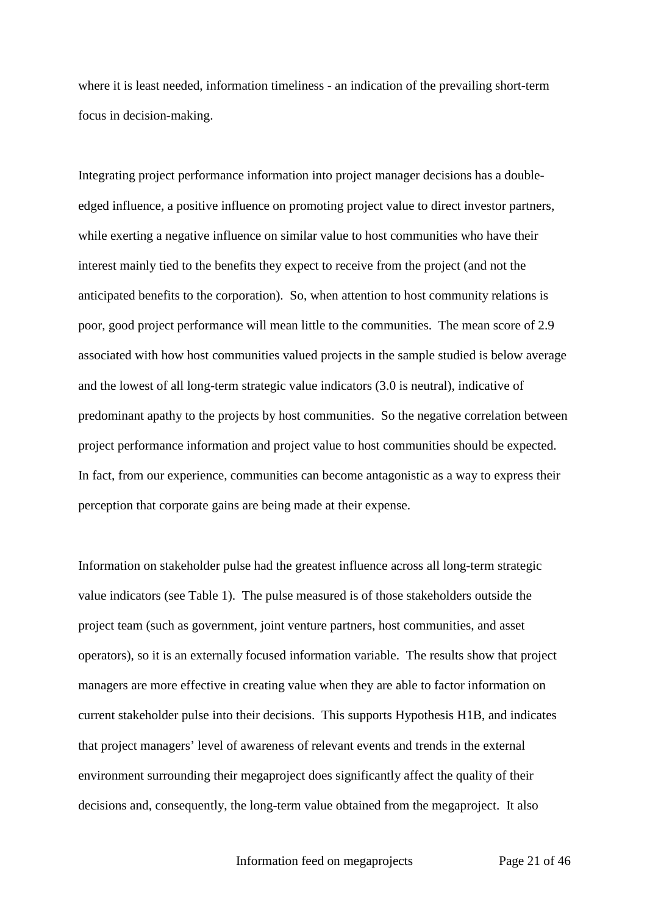where it is least needed, information timeliness - an indication of the prevailing short-term focus in decision-making.

Integrating project performance information into project manager decisions has a doubleedged influence, a positive influence on promoting project value to direct investor partners, while exerting a negative influence on similar value to host communities who have their interest mainly tied to the benefits they expect to receive from the project (and not the anticipated benefits to the corporation). So, when attention to host community relations is poor, good project performance will mean little to the communities. The mean score of 2.9 associated with how host communities valued projects in the sample studied is below average and the lowest of all long-term strategic value indicators (3.0 is neutral), indicative of predominant apathy to the projects by host communities. So the negative correlation between project performance information and project value to host communities should be expected. In fact, from our experience, communities can become antagonistic as a way to express their perception that corporate gains are being made at their expense.

Information on stakeholder pulse had the greatest influence across all long-term strategic value indicators (see Table 1). The pulse measured is of those stakeholders outside the project team (such as government, joint venture partners, host communities, and asset operators), so it is an externally focused information variable. The results show that project managers are more effective in creating value when they are able to factor information on current stakeholder pulse into their decisions. This supports Hypothesis H1B, and indicates that project managers' level of awareness of relevant events and trends in the external environment surrounding their megaproject does significantly affect the quality of their decisions and, consequently, the long-term value obtained from the megaproject. It also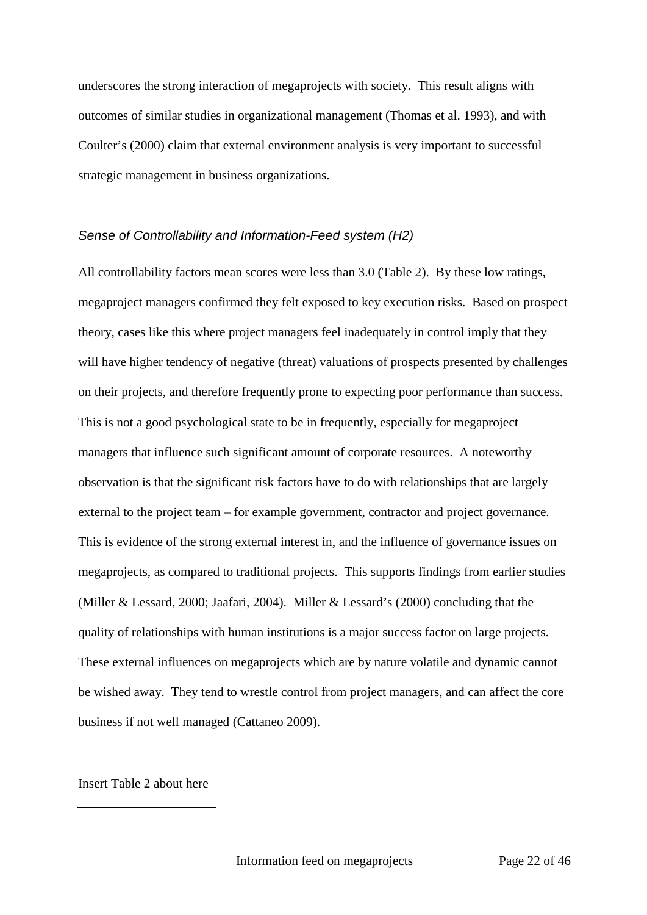underscores the strong interaction of megaprojects with society. This result aligns with outcomes of similar studies in organizational management (Thomas et al. 1993), and with Coulter's (2000) claim that external environment analysis is very important to successful strategic management in business organizations.

# *Sense of Controllability and Information-Feed system (H2)*

All controllability factors mean scores were less than 3.0 (Table 2). By these low ratings, megaproject managers confirmed they felt exposed to key execution risks. Based on prospect theory, cases like this where project managers feel inadequately in control imply that they will have higher tendency of negative (threat) valuations of prospects presented by challenges on their projects, and therefore frequently prone to expecting poor performance than success. This is not a good psychological state to be in frequently, especially for megaproject managers that influence such significant amount of corporate resources. A noteworthy observation is that the significant risk factors have to do with relationships that are largely external to the project team – for example government, contractor and project governance. This is evidence of the strong external interest in, and the influence of governance issues on megaprojects, as compared to traditional projects. This supports findings from earlier studies (Miller & Lessard, 2000; Jaafari, 2004). Miller & Lessard's (2000) concluding that the quality of relationships with human institutions is a major success factor on large projects. These external influences on megaprojects which are by nature volatile and dynamic cannot be wished away. They tend to wrestle control from project managers, and can affect the core business if not well managed (Cattaneo 2009).

Insert Table 2 about here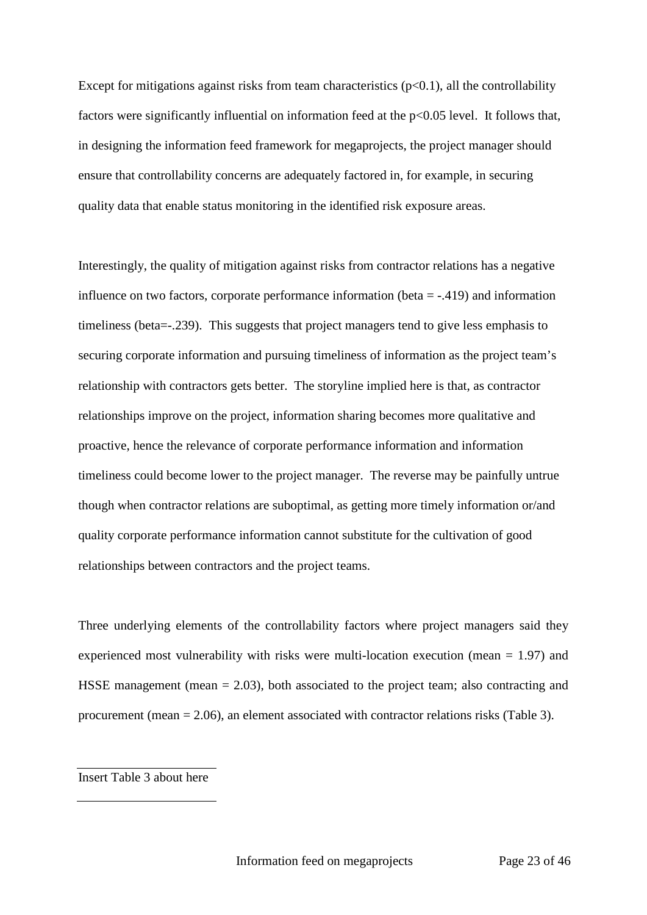Except for mitigations against risks from team characteristics  $(p<0.1)$ , all the controllability factors were significantly influential on information feed at the p<0.05 level. It follows that, in designing the information feed framework for megaprojects, the project manager should ensure that controllability concerns are adequately factored in, for example, in securing quality data that enable status monitoring in the identified risk exposure areas.

Interestingly, the quality of mitigation against risks from contractor relations has a negative influence on two factors, corporate performance information (beta = -.419) and information timeliness (beta=-.239). This suggests that project managers tend to give less emphasis to securing corporate information and pursuing timeliness of information as the project team's relationship with contractors gets better. The storyline implied here is that, as contractor relationships improve on the project, information sharing becomes more qualitative and proactive, hence the relevance of corporate performance information and information timeliness could become lower to the project manager. The reverse may be painfully untrue though when contractor relations are suboptimal, as getting more timely information or/and quality corporate performance information cannot substitute for the cultivation of good relationships between contractors and the project teams.

Three underlying elements of the controllability factors where project managers said they experienced most vulnerability with risks were multi-location execution (mean = 1.97) and HSSE management (mean  $= 2.03$ ), both associated to the project team; also contracting and procurement (mean = 2.06), an element associated with contractor relations risks (Table 3).

Insert Table 3 about here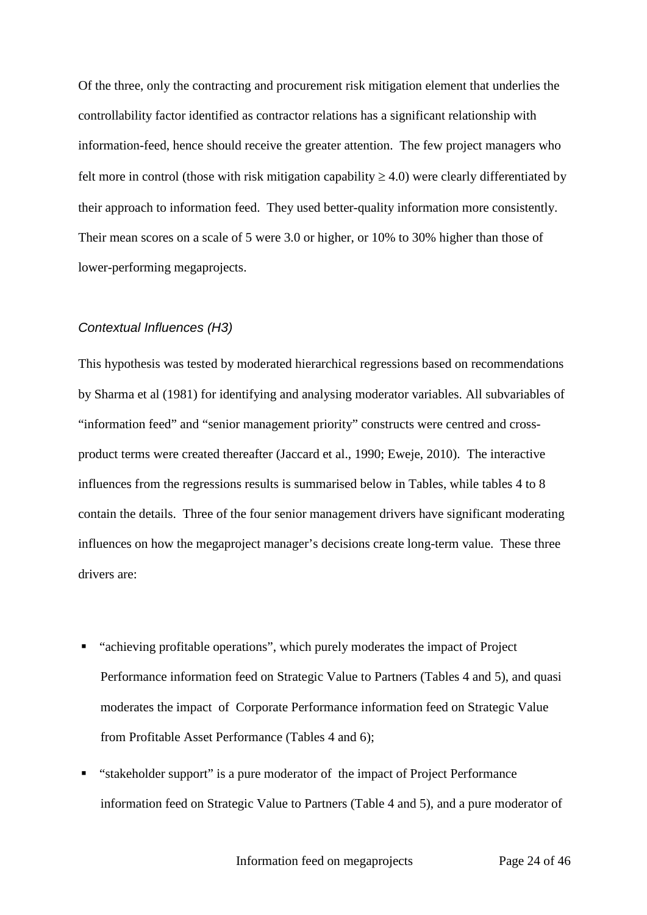Of the three, only the contracting and procurement risk mitigation element that underlies the controllability factor identified as contractor relations has a significant relationship with information-feed, hence should receive the greater attention. The few project managers who felt more in control (those with risk mitigation capability  $\geq$  4.0) were clearly differentiated by their approach to information feed. They used better-quality information more consistently. Their mean scores on a scale of 5 were 3.0 or higher, or 10% to 30% higher than those of lower-performing megaprojects.

# *Contextual Influences (H3)*

This hypothesis was tested by moderated hierarchical regressions based on recommendations by Sharma et al (1981) for identifying and analysing moderator variables. All subvariables of "information feed" and "senior management priority" constructs were centred and crossproduct terms were created thereafter (Jaccard et al., 1990; Eweje, 2010). The interactive influences from the regressions results is summarised below in Tables, while tables 4 to 8 contain the details. Three of the four senior management drivers have significant moderating influences on how the megaproject manager's decisions create long-term value. These three drivers are:

- "achieving profitable operations", which purely moderates the impact of Project Performance information feed on Strategic Value to Partners (Tables 4 and 5), and quasi moderates the impact of Corporate Performance information feed on Strategic Value from Profitable Asset Performance (Tables 4 and 6);
- "stakeholder support" is a pure moderator of the impact of Project Performance information feed on Strategic Value to Partners (Table 4 and 5), and a pure moderator of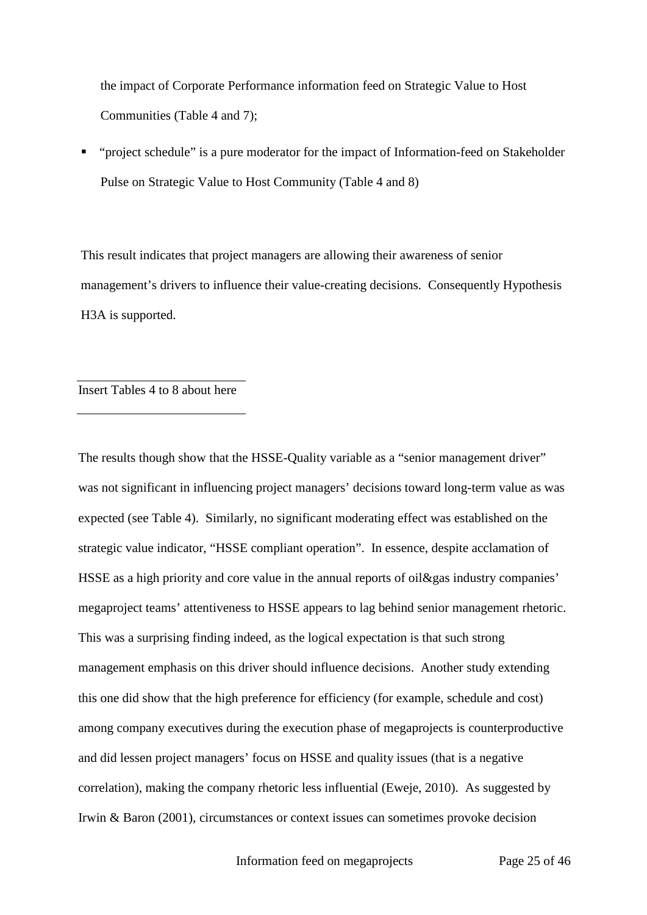the impact of Corporate Performance information feed on Strategic Value to Host Communities (Table 4 and 7);

 "project schedule" is a pure moderator for the impact of Information-feed on Stakeholder Pulse on Strategic Value to Host Community (Table 4 and 8)

This result indicates that project managers are allowing their awareness of senior management's drivers to influence their value-creating decisions. Consequently Hypothesis H3A is supported.

# Insert Tables 4 to 8 about here

The results though show that the HSSE-Quality variable as a "senior management driver" was not significant in influencing project managers' decisions toward long-term value as was expected (see Table 4). Similarly, no significant moderating effect was established on the strategic value indicator, "HSSE compliant operation". In essence, despite acclamation of HSSE as a high priority and core value in the annual reports of oil&gas industry companies' megaproject teams' attentiveness to HSSE appears to lag behind senior management rhetoric. This was a surprising finding indeed, as the logical expectation is that such strong management emphasis on this driver should influence decisions. Another study extending this one did show that the high preference for efficiency (for example, schedule and cost) among company executives during the execution phase of megaprojects is counterproductive and did lessen project managers' focus on HSSE and quality issues (that is a negative correlation), making the company rhetoric less influential (Eweje, 2010). As suggested by Irwin & Baron (2001), circumstances or context issues can sometimes provoke decision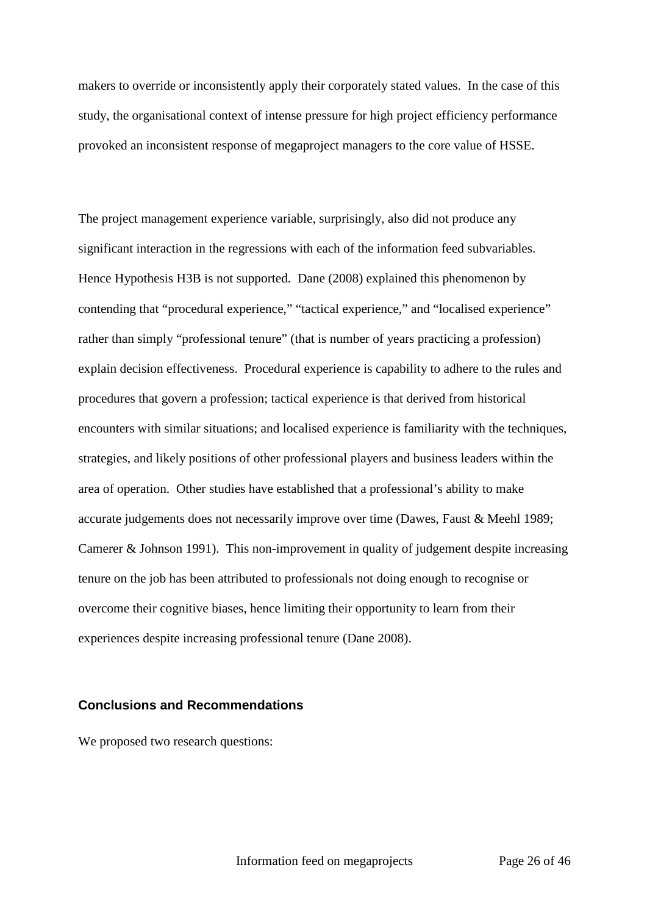makers to override or inconsistently apply their corporately stated values. In the case of this study, the organisational context of intense pressure for high project efficiency performance provoked an inconsistent response of megaproject managers to the core value of HSSE.

The project management experience variable, surprisingly, also did not produce any significant interaction in the regressions with each of the information feed subvariables. Hence Hypothesis H3B is not supported. Dane (2008) explained this phenomenon by contending that "procedural experience," "tactical experience," and "localised experience" rather than simply "professional tenure" (that is number of years practicing a profession) explain decision effectiveness. Procedural experience is capability to adhere to the rules and procedures that govern a profession; tactical experience is that derived from historical encounters with similar situations; and localised experience is familiarity with the techniques, strategies, and likely positions of other professional players and business leaders within the area of operation. Other studies have established that a professional's ability to make accurate judgements does not necessarily improve over time (Dawes, Faust & Meehl 1989; Camerer & Johnson 1991). This non-improvement in quality of judgement despite increasing tenure on the job has been attributed to professionals not doing enough to recognise or overcome their cognitive biases, hence limiting their opportunity to learn from their experiences despite increasing professional tenure (Dane 2008).

#### **Conclusions and Recommendations**

We proposed two research questions: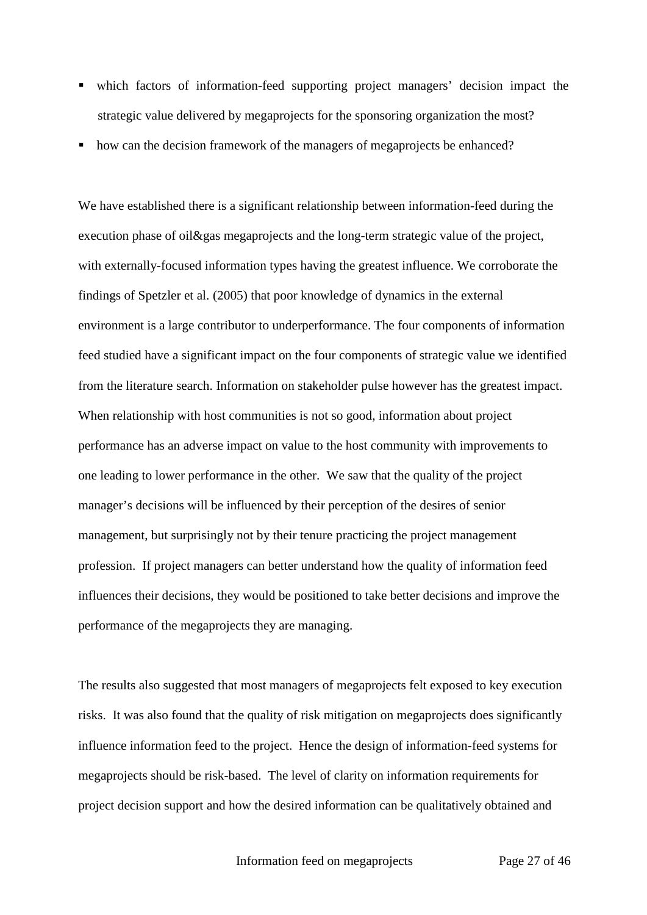- which factors of information-feed supporting project managers' decision impact the strategic value delivered by megaprojects for the sponsoring organization the most?
- how can the decision framework of the managers of megaprojects be enhanced?

We have established there is a significant relationship between information-feed during the execution phase of oil&gas megaprojects and the long-term strategic value of the project, with externally-focused information types having the greatest influence. We corroborate the findings of Spetzler et al. (2005) that poor knowledge of dynamics in the external environment is a large contributor to underperformance. The four components of information feed studied have a significant impact on the four components of strategic value we identified from the literature search. Information on stakeholder pulse however has the greatest impact. When relationship with host communities is not so good, information about project performance has an adverse impact on value to the host community with improvements to one leading to lower performance in the other. We saw that the quality of the project manager's decisions will be influenced by their perception of the desires of senior management, but surprisingly not by their tenure practicing the project management profession. If project managers can better understand how the quality of information feed influences their decisions, they would be positioned to take better decisions and improve the performance of the megaprojects they are managing.

The results also suggested that most managers of megaprojects felt exposed to key execution risks. It was also found that the quality of risk mitigation on megaprojects does significantly influence information feed to the project. Hence the design of information-feed systems for megaprojects should be risk-based. The level of clarity on information requirements for project decision support and how the desired information can be qualitatively obtained and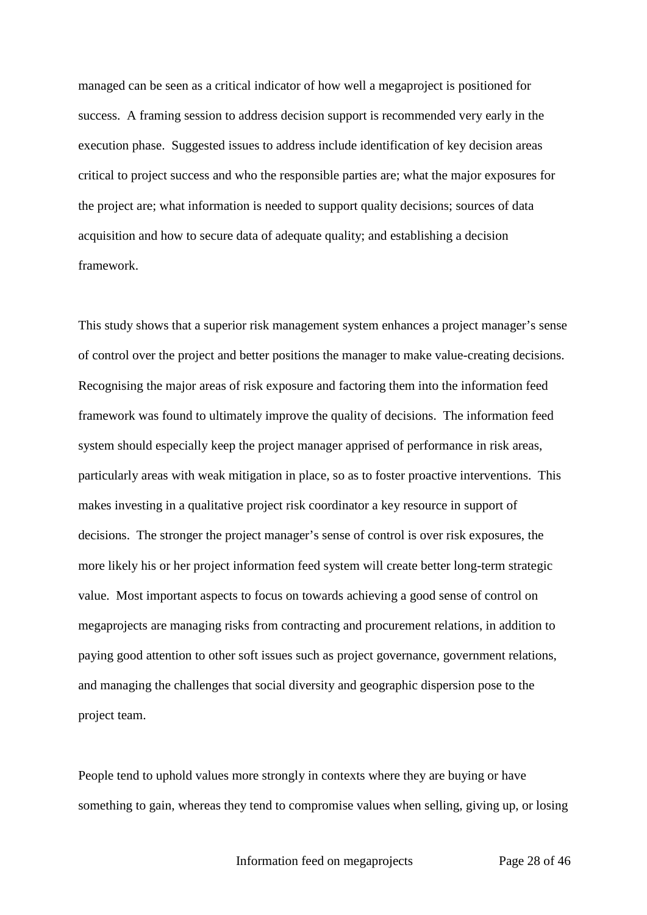managed can be seen as a critical indicator of how well a megaproject is positioned for success. A framing session to address decision support is recommended very early in the execution phase. Suggested issues to address include identification of key decision areas critical to project success and who the responsible parties are; what the major exposures for the project are; what information is needed to support quality decisions; sources of data acquisition and how to secure data of adequate quality; and establishing a decision framework.

This study shows that a superior risk management system enhances a project manager's sense of control over the project and better positions the manager to make value-creating decisions. Recognising the major areas of risk exposure and factoring them into the information feed framework was found to ultimately improve the quality of decisions. The information feed system should especially keep the project manager apprised of performance in risk areas, particularly areas with weak mitigation in place, so as to foster proactive interventions. This makes investing in a qualitative project risk coordinator a key resource in support of decisions. The stronger the project manager's sense of control is over risk exposures, the more likely his or her project information feed system will create better long-term strategic value. Most important aspects to focus on towards achieving a good sense of control on megaprojects are managing risks from contracting and procurement relations, in addition to paying good attention to other soft issues such as project governance, government relations, and managing the challenges that social diversity and geographic dispersion pose to the project team.

People tend to uphold values more strongly in contexts where they are buying or have something to gain, whereas they tend to compromise values when selling, giving up, or losing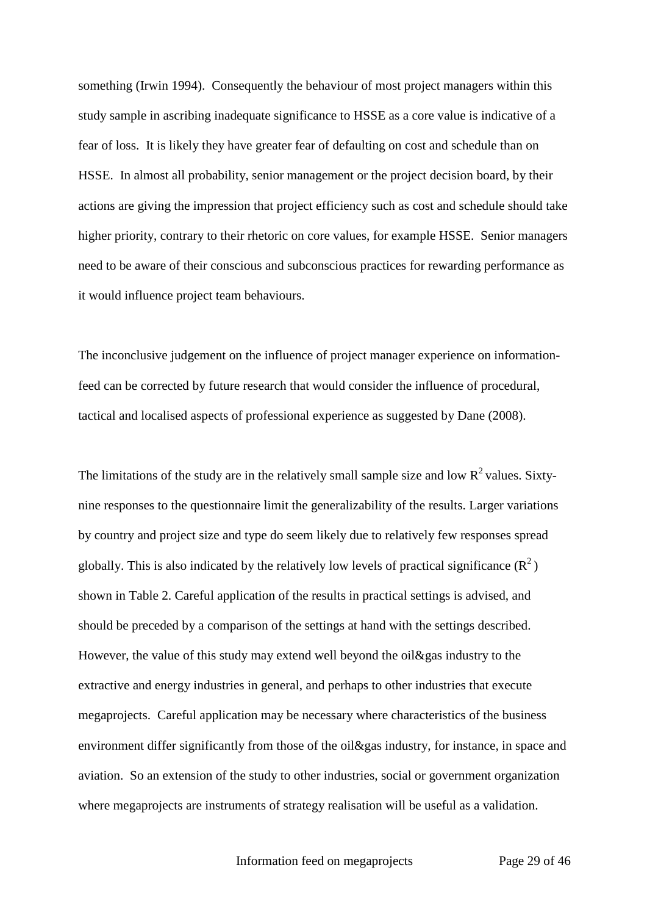something (Irwin 1994). Consequently the behaviour of most project managers within this study sample in ascribing inadequate significance to HSSE as a core value is indicative of a fear of loss. It is likely they have greater fear of defaulting on cost and schedule than on HSSE. In almost all probability, senior management or the project decision board, by their actions are giving the impression that project efficiency such as cost and schedule should take higher priority, contrary to their rhetoric on core values, for example HSSE. Senior managers need to be aware of their conscious and subconscious practices for rewarding performance as it would influence project team behaviours.

The inconclusive judgement on the influence of project manager experience on informationfeed can be corrected by future research that would consider the influence of procedural, tactical and localised aspects of professional experience as suggested by Dane (2008).

The limitations of the study are in the relatively small sample size and low  $R^2$  values. Sixtynine responses to the questionnaire limit the generalizability of the results. Larger variations by country and project size and type do seem likely due to relatively few responses spread globally. This is also indicated by the relatively low levels of practical significance  $(R^2)$ shown in Table 2. Careful application of the results in practical settings is advised, and should be preceded by a comparison of the settings at hand with the settings described. However, the value of this study may extend well beyond the oil&gas industry to the extractive and energy industries in general, and perhaps to other industries that execute megaprojects. Careful application may be necessary where characteristics of the business environment differ significantly from those of the oil&gas industry, for instance, in space and aviation. So an extension of the study to other industries, social or government organization where megaprojects are instruments of strategy realisation will be useful as a validation.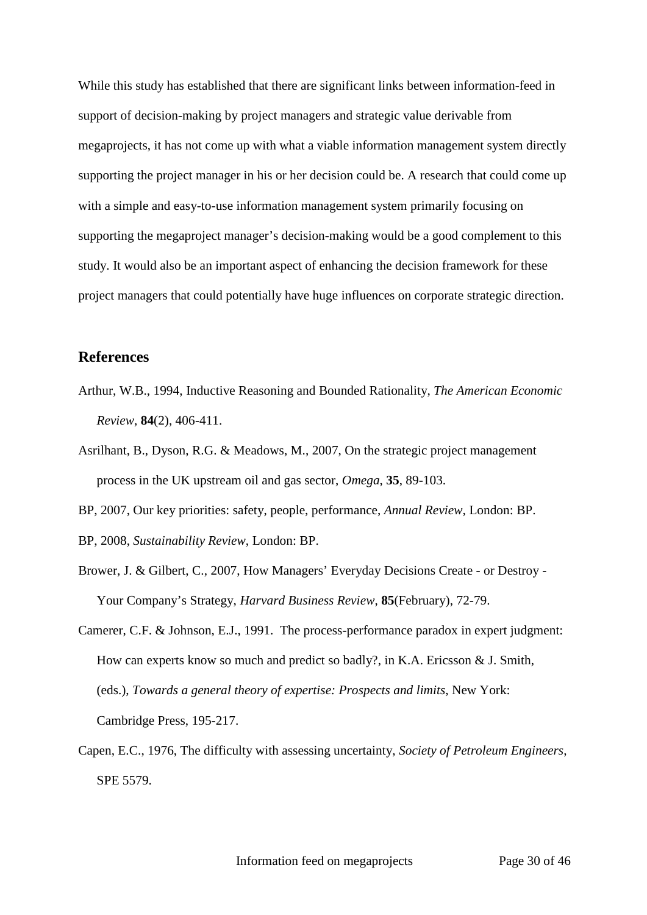While this study has established that there are significant links between information-feed in support of decision-making by project managers and strategic value derivable from megaprojects, it has not come up with what a viable information management system directly supporting the project manager in his or her decision could be. A research that could come up with a simple and easy-to-use information management system primarily focusing on supporting the megaproject manager's decision-making would be a good complement to this study. It would also be an important aspect of enhancing the decision framework for these project managers that could potentially have huge influences on corporate strategic direction.

# **References**

- Arthur, W.B., 1994, Inductive Reasoning and Bounded Rationality, *The American Economic Review*, **84**(2), 406-411.
- Asrilhant, B., Dyson, R.G. & Meadows, M., 2007, On the strategic project management process in the UK upstream oil and gas sector, *Omega*, **35**, 89-103.
- BP, 2007, Our key priorities: safety, people, performance, *Annual Review,* London: BP.
- BP, 2008, *Sustainability Review*, London: BP.
- Brower, J. & Gilbert, C., 2007, How Managers' Everyday Decisions Create or Destroy Your Company's Strategy, *Harvard Business Review*, **85**(February), 72-79.
- Camerer, C.F. & Johnson, E.J., 1991. The process-performance paradox in expert judgment: How can experts know so much and predict so badly?, in K.A. Ericsson & J. Smith, (eds.), *Towards a general theory of expertise: Prospects and limits*, New York: Cambridge Press, 195-217.
- Capen, E.C., 1976, The difficulty with assessing uncertainty, *Society of Petroleum Engineers*, SPE 5579.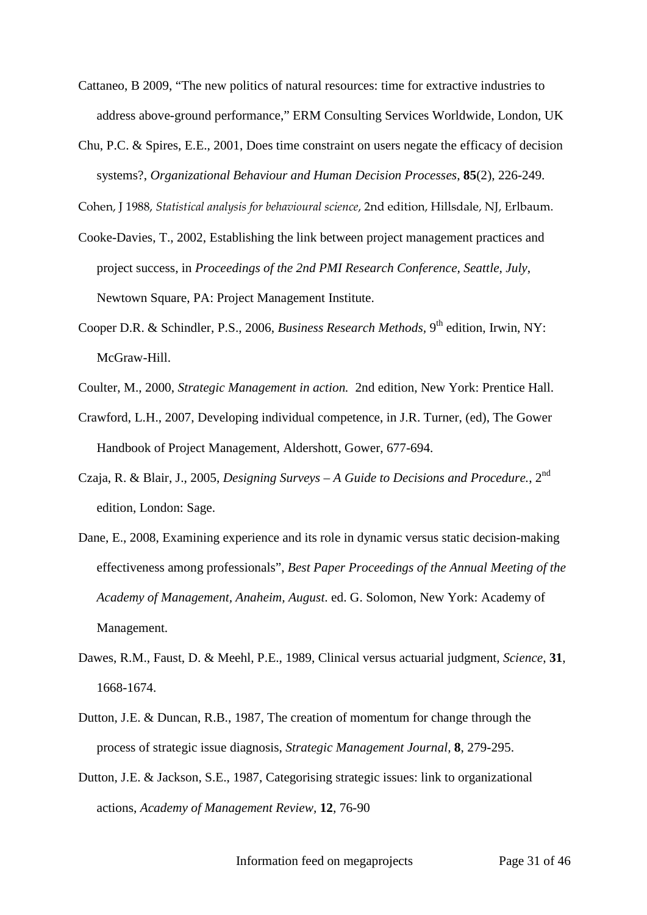- Cattaneo, B 2009, "The new politics of natural resources: time for extractive industries to address above-ground performance," ERM Consulting Services Worldwide, London, UK
- Chu, P.C. & Spires, E.E., 2001, Does time constraint on users negate the efficacy of decision systems?, *Organizational Behaviour and Human Decision Processes*, **85**(2), 226-249.

Cohen, J 1988, *Statistical analysis for behavioural science*, 2nd edition, Hillsdale, NJ, Erlbaum.

- Cooke-Davies, T., 2002, Establishing the link between project management practices and project success, in *Proceedings of the 2nd PMI Research Conference, Seattle, July*, Newtown Square, PA: Project Management Institute.
- Cooper D.R. & Schindler, P.S., 2006, *Business Research Methods*, 9<sup>th</sup> edition, Irwin, NY: McGraw-Hill.
- Coulter, M., 2000, *Strategic Management in action.* 2nd edition, New York: Prentice Hall.
- Crawford, L.H., 2007, Developing individual competence, in J.R. Turner, (ed), The Gower Handbook of Project Management, Aldershott, Gower, 677-694.
- Czaja, R. & Blair, J., 2005, *Designing Surveys – A Guide to Decisions and Procedure.*, 2nd edition, London: Sage.
- Dane, E., 2008, Examining experience and its role in dynamic versus static decision-making effectiveness among professionals", *Best Paper Proceedings of the Annual Meeting of the Academy of Management, Anaheim, August*. ed. G. Solomon, New York: Academy of Management.
- Dawes, R.M., Faust, D. & Meehl, P.E., 1989, Clinical versus actuarial judgment, *Science*, **31**, 1668-1674.
- Dutton, J.E. & Duncan, R.B., 1987, The creation of momentum for change through the process of strategic issue diagnosis, *Strategic Management Journal,* **8**, 279-295.
- Dutton, J.E. & Jackson, S.E., 1987, Categorising strategic issues: link to organizational actions, *Academy of Management Review,* **12**, 76-90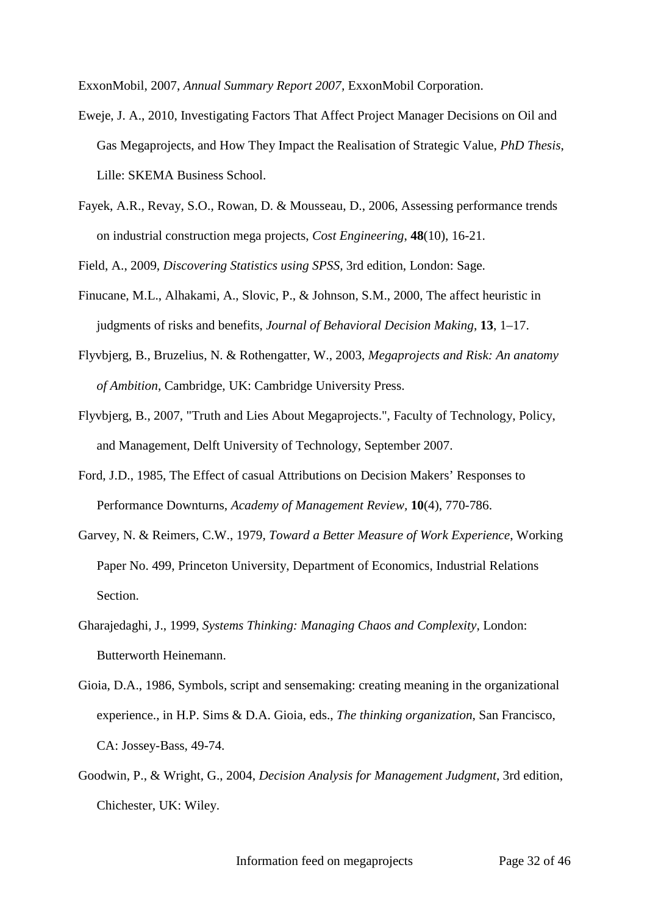ExxonMobil, 2007, *Annual Summary Report 2007,* ExxonMobil Corporation.

- Eweje, J. A., 2010, Investigating Factors That Affect Project Manager Decisions on Oil and Gas Megaprojects, and How They Impact the Realisation of Strategic Value, *PhD Thesis*, Lille: SKEMA Business School.
- Fayek, A.R., Revay, S.O., Rowan, D. & Mousseau, D., 2006, Assessing performance trends on industrial construction mega projects, *Cost Engineering*, **48**(10), 16-21.

Field, A., 2009, *Discovering Statistics using SPSS,* 3rd edition, London: Sage.

- Finucane, M.L., Alhakami, A., Slovic, P., & Johnson, S.M., 2000, The affect heuristic in judgments of risks and benefits, *Journal of Behavioral Decision Making*, **13**, 1–17.
- Flyvbjerg, B., Bruzelius, N. & Rothengatter, W., 2003, *Megaprojects and Risk: An anatomy of Ambition*, Cambridge, UK: Cambridge University Press.
- Flyvbjerg, B., 2007, "Truth and Lies About Megaprojects.", Faculty of Technology, Policy, and Management, Delft University of Technology, September 2007.
- Ford, J.D., 1985, The Effect of casual Attributions on Decision Makers' Responses to Performance Downturns, *Academy of Management Review,* **10**(4), 770-786.
- Garvey, N. & Reimers, C.W., 1979, *Toward a Better Measure of Work Experience*, Working Paper No. 499, Princeton University, Department of Economics, Industrial Relations Section.
- Gharajedaghi, J., 1999, *Systems Thinking: Managing Chaos and Complexity*, London: Butterworth Heinemann.
- Gioia, D.A., 1986, Symbols, script and sensemaking: creating meaning in the organizational experience., in H.P. Sims & D.A. Gioia, eds., *The thinking organization*, San Francisco, CA: Jossey-Bass, 49-74.
- Goodwin, P., & Wright, G., 2004, *Decision Analysis for Management Judgment*, 3rd edition, Chichester, UK: Wiley.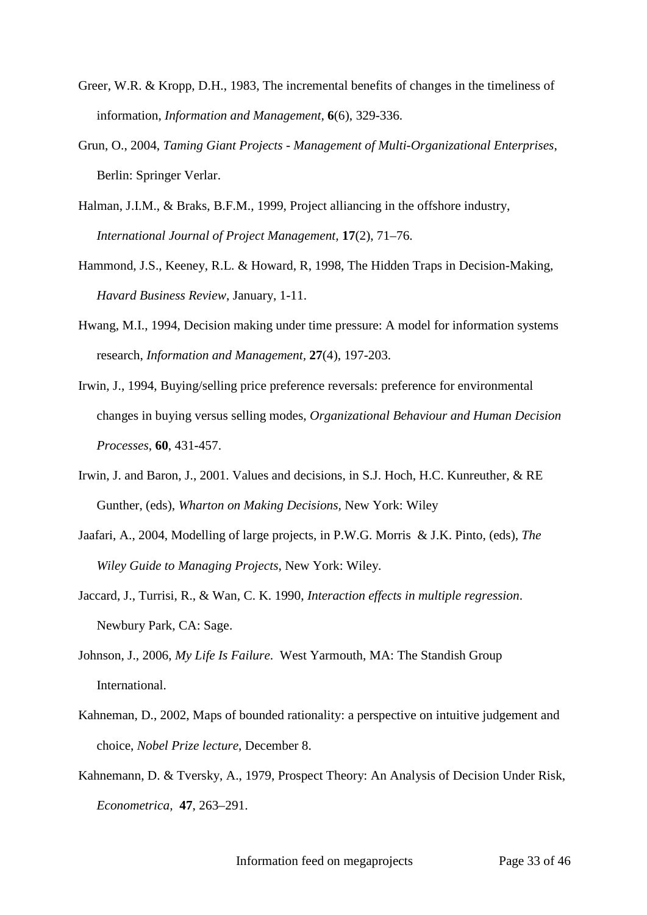- Greer, W.R. & Kropp, D.H., 1983, [The incremental benefits of changes in the timeliness of](http://www.sciencedirect.com/science?_ob=ArticleURL&_udi=B6VD0-45K55VY-1J&_user=6591242&_coverDate=12%2F31%2F1983&_alid=1138434498&_rdoc=2&_fmt=high&_orig=search&_cdi=5968&_sort=r&_docanchor=&view=c&_ct=61&_acct=C000066906&_version=1&_urlVersio%20)  [information,](http://www.sciencedirect.com/science?_ob=ArticleURL&_udi=B6VD0-45K55VY-1J&_user=6591242&_coverDate=12%2F31%2F1983&_alid=1138434498&_rdoc=2&_fmt=high&_orig=search&_cdi=5968&_sort=r&_docanchor=&view=c&_ct=61&_acct=C000066906&_version=1&_urlVersio%20) *Information and Management,* **6**(6), 329-336.
- Grun, O., 2004, *Taming Giant Projects - Management of Multi-Organizational Enterprises*, Berlin: Springer Verlar.
- Halman, J.I.M., & Braks, B.F.M., 1999, Project alliancing in the offshore industry, *International Journal of Project Management,* **17**(2), 71–76.
- Hammond, J.S., Keeney, R.L. & Howard, R, 1998, The Hidden Traps in Decision-Making, *Havard Business Review*, January, 1-11.
- Hwang, M.I., 1994, [Decision making under time pressure: A model for information systems](http://www.sciencedirect.com/science?_ob=ArticleURL&_udi=B6VD0-45MGSPN-7&_user=6591242&_coverDate=10%2F31%2F1994&_alid=1138439241&_rdoc=13&_fmt=high&_orig=mlkt&_cdi=5968&_sort=v&_st=17&_docanchor=&view=c&_ct=834&_acct=C000066906&_version=1&_url%20)  [research,](http://www.sciencedirect.com/science?_ob=ArticleURL&_udi=B6VD0-45MGSPN-7&_user=6591242&_coverDate=10%2F31%2F1994&_alid=1138439241&_rdoc=13&_fmt=high&_orig=mlkt&_cdi=5968&_sort=v&_st=17&_docanchor=&view=c&_ct=834&_acct=C000066906&_version=1&_url%20) *Information and Management,* **27**(4), 197-203.
- Irwin, J., 1994, Buying/selling price preference reversals: preference for environmental changes in buying versus selling modes, *Organizational Behaviour and Human Decision Processes*, **60**, 431-457.
- Irwin, J. and Baron, J., 2001. Values and decisions, in S.J. Hoch, H.C. Kunreuther, & RE Gunther, (eds), *Wharton on Making Decisions,* New York: Wiley
- Jaafari, A., 2004, Modelling of large projects, in P.W.G. Morris & J.K. Pinto, (eds), *The Wiley Guide to Managing Projects*, New York: Wiley.
- Jaccard, J., Turrisi, R., & Wan, C. K. 1990, *Interaction effects in multiple regression*. Newbury Park, CA: Sage.
- Johnson, J., 2006, *My Life Is Failure*. West Yarmouth, MA: The Standish Group International.
- Kahneman, D., 2002, Maps of bounded rationality: a perspective on intuitive judgement and choice, *Nobel Prize lecture*, December 8.
- Kahnemann, D. & Tversky, A., 1979, Prospect Theory: An Analysis of Decision Under Risk, *Econometrica,* **47**, 263–291.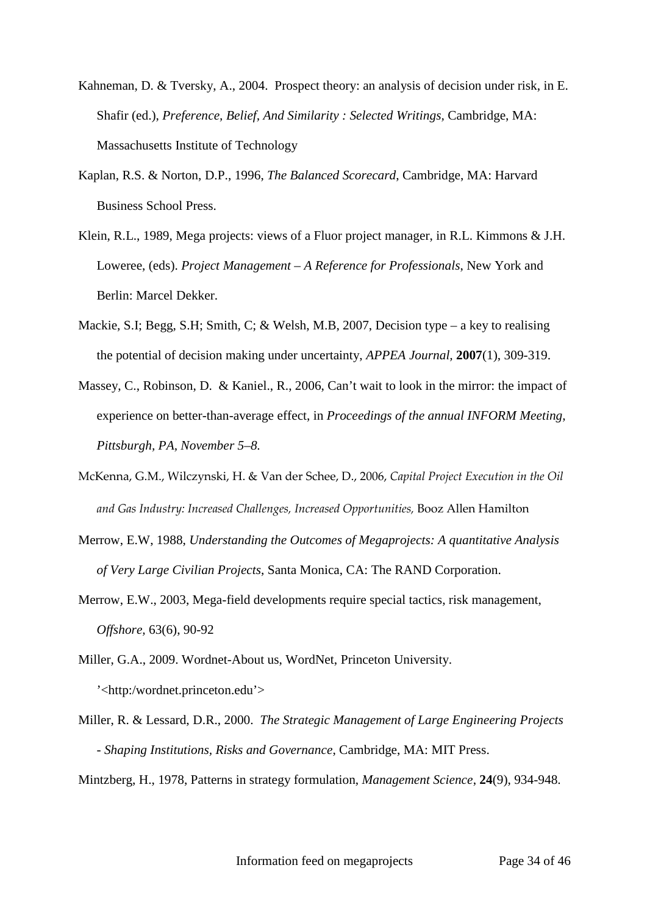- Kahneman, D. & Tversky, A., 2004. Prospect theory: an analysis of decision under risk, in E. Shafir (ed.), *Preference, Belief, And Similarity : Selected Writings, Cambridge, MA:* Massachusetts Institute of Technology
- Kaplan, R.S. & Norton, D.P., 1996, *The Balanced Scorecard*, Cambridge, MA: Harvard Business School Press.
- Klein, R.L., 1989, Mega projects: views of a Fluor project manager, in R.L. Kimmons & J.H. Loweree, (eds). *Project Management – A Reference for Professionals*, New York and Berlin: Marcel Dekker.
- Mackie, S.I; Begg, S.H; Smith, C; & Welsh, M.B, 2007, Decision type a key to realising the potential of decision making under uncertainty, *APPEA Journal,* **2007**(1), 309-319.
- Massey, C., Robinson, D. & Kaniel., R., 2006, Can't wait to look in the mirror: the impact of experience on better-than-average effect, in *Proceedings of the annual INFORM Meeting*, *Pittsburgh, PA, November 5–8.*
- McKenna, G.M., Wilczynski, H. & Van der Schee, D., 2006, *Capital Project Execution in the Oil and Gas Industry: Increased Challenges, Increased Opportunities,* Booz Allen Hamilton
- Merrow, E.W, 1988, *Understanding the Outcomes of Megaprojects: A quantitative Analysis of Very Large Civilian Projects*, Santa Monica, CA: The RAND Corporation.
- Merrow, E.W., 2003, Mega-field developments require special tactics, risk management, *Offshore,* 63(6), 90-92
- Miller, G.A., 2009. Wordnet-About us, WordNet, Princeton University. '<http:/wordnet.princeton.edu'>
- Miller, R. & Lessard, D.R., 2000. *The Strategic Management of Large Engineering Projects - Shaping Institutions, Risks and Governance*, Cambridge, MA: MIT Press.

Mintzberg, H., 1978, Patterns in strategy formulation, *Management Science*, **24**(9), 934-948.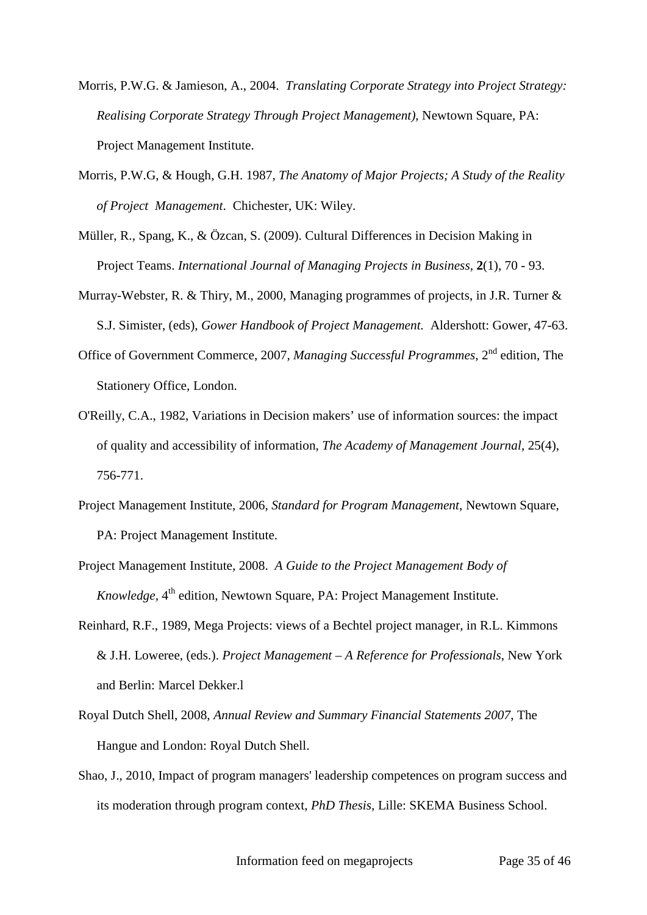- Morris, P.W.G. & Jamieson, A., 2004. *Translating Corporate Strategy into Project Strategy: Realising Corporate Strategy Through Project Management)*, Newtown Square, PA: Project Management Institute.
- Morris, P.W.G, & Hough, G.H. 1987, *The Anatomy of Major Projects; A Study of the Reality of Project Management*. Chichester, UK: Wiley.
- Müller, R., Spang, K., & Özcan, S. (2009). Cultural Differences in Decision Making in Project Teams. *International Journal of Managing Projects in Business,* **2**(1), 70 - 93.
- Murray-Webster, R. & Thiry, M., 2000, Managing programmes of projects, in J.R. Turner & S.J. Simister, (eds), *Gower Handbook of Project Management.* Aldershott: Gower, 47-63.
- Office of Government Commerce, 2007, *Managing Successful Programmes,* 2nd edition, The Stationery Office, London.
- O'Reilly, C.A., 1982, Variations in Decision makers' use of information sources: the impact of quality and accessibility of information, *The Academy of Management Journal*, 25(4), 756-771.
- Project Management Institute, 2006, *Standard for Program Management*, Newtown Square, PA: Project Management Institute.
- Project Management Institute, 2008. *A Guide to the Project Management Body of Knowledge*, 4<sup>th</sup> edition, Newtown Square, PA: Project Management Institute.
- Reinhard, R.F., 1989, Mega Projects: views of a Bechtel project manager*,* in R.L. Kimmons & J.H. Loweree, (eds.). *Project Management – A Reference for Professionals*, New York and Berlin: Marcel Dekker.l
- Royal Dutch Shell, 2008, *Annual Review and Summary Financial Statements 2007*, The Hangue and London: Royal Dutch Shell.
- Shao, J., 2010, Impact of program managers' leadership competences on program success and its moderation through program context, *PhD Thesis,* Lille: SKEMA Business School.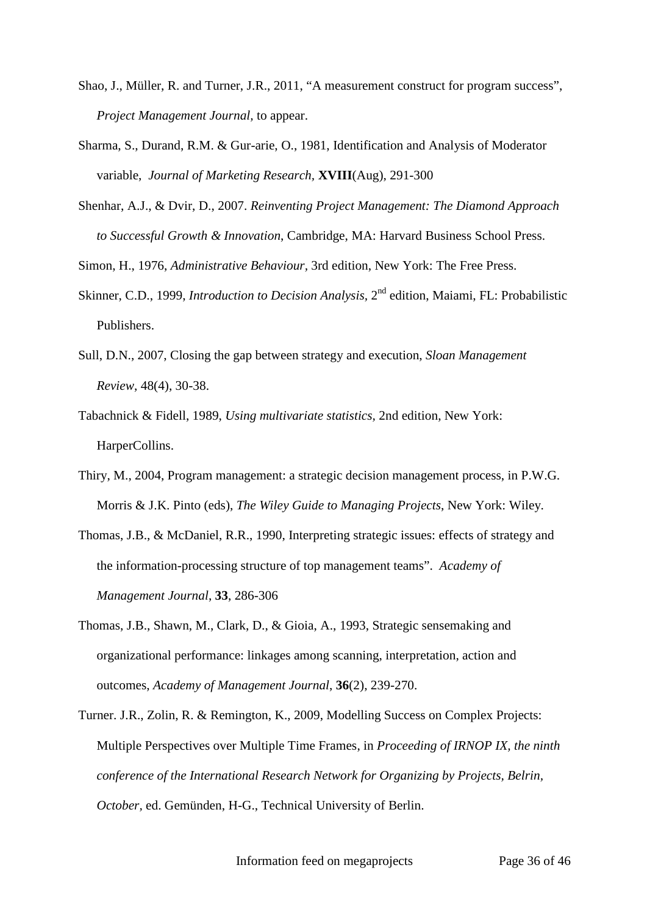- Shao, J., Müller, R. and Turner, J.R., 2011, "A measurement construct for program success", *Project Management Journal,* to appear.
- Sharma, S., Durand, R.M. & Gur-arie, O., 1981, Identification and Analysis of Moderator variable, *Journal of Marketing Research,* **XVIII**(Aug), 291-300
- Shenhar, A.J., & Dvir, D., 2007. *Reinventing Project Management: The Diamond Approach to Successful Growth & Innovation*, Cambridge, MA: Harvard Business School Press.
- Simon, H., 1976, *Administrative Behaviour,* 3rd edition, New York: The Free Press.
- Skinner, C.D., 1999, *Introduction to Decision Analysis,* 2nd edition, Maiami, FL: Probabilistic Publishers.
- Sull, D.N., 2007, Closing the gap between strategy and execution, *Sloan Management Review*, 48(4), 30-38.
- Tabachnick & Fidell, 1989, *Using multivariate statistics,* 2nd edition, New York: HarperCollins.
- Thiry, M., 2004, Program management: a strategic decision management process, in P.W.G. Morris & J.K. Pinto (eds), *The Wiley Guide to Managing Projects*, New York: Wiley.
- Thomas, J.B., & McDaniel, R.R., 1990, Interpreting strategic issues: effects of strategy and the information-processing structure of top management teams". *Academy of Management Journal*, **33**, 286-306
- Thomas, J.B., Shawn, M., Clark, D., & Gioia, A., 1993, Strategic sensemaking and organizational performance: linkages among scanning, interpretation, action and outcomes, *Academy of Management Journal*, **36**(2), 239-270.
- Turner. J.R., Zolin, R. & Remington, K., 2009, Modelling Success on Complex Projects: Multiple Perspectives over Multiple Time Frames, in *Proceeding of IRNOP IX, the ninth conference of the International Research Network for Organizing by Projects, Belrin, October,* ed. Gemünden, H-G., Technical University of Berlin.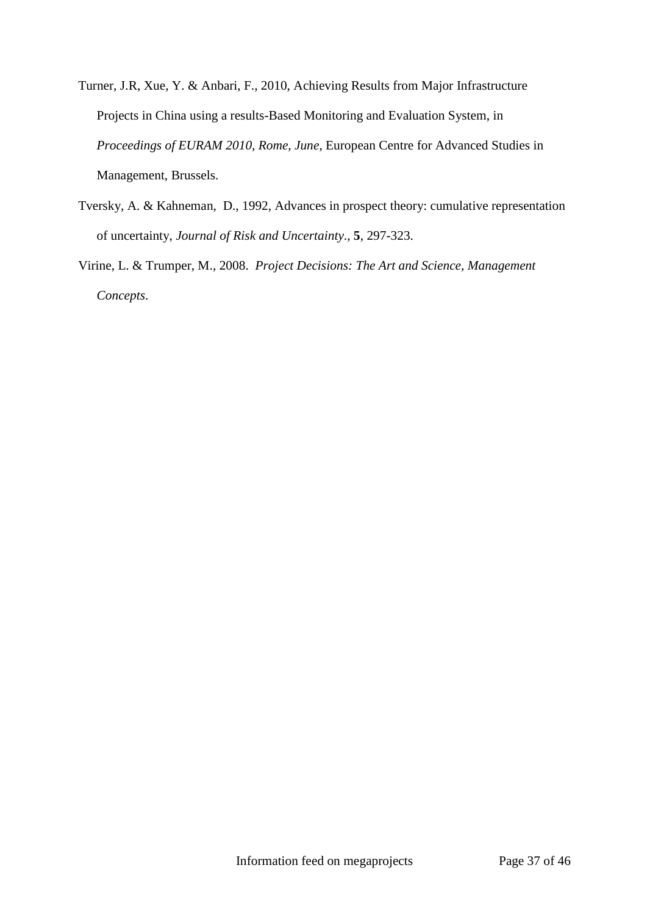- Turner, J.R, Xue, Y. & Anbari, F., 2010, Achieving Results from Major Infrastructure Projects in China using a results-Based Monitoring and Evaluation System, in *Proceedings of EURAM 2010, Rome, June*, European Centre for Advanced Studies in Management, Brussels.
- Tversky, A. & Kahneman, D., 1992, Advances in prospect theory: cumulative representation of uncertainty, *Journal of Risk and Uncertainty*., **5**, 297-323.
- Virine, L. & Trumper, M., 2008. *Project Decisions: The Art and Science, Management Concepts*.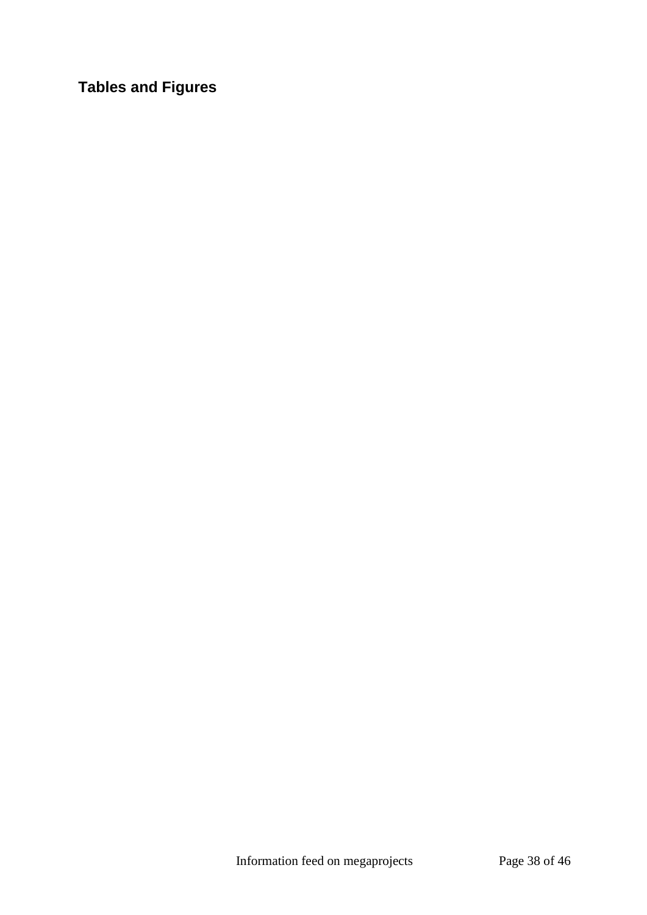**Tables and Figures**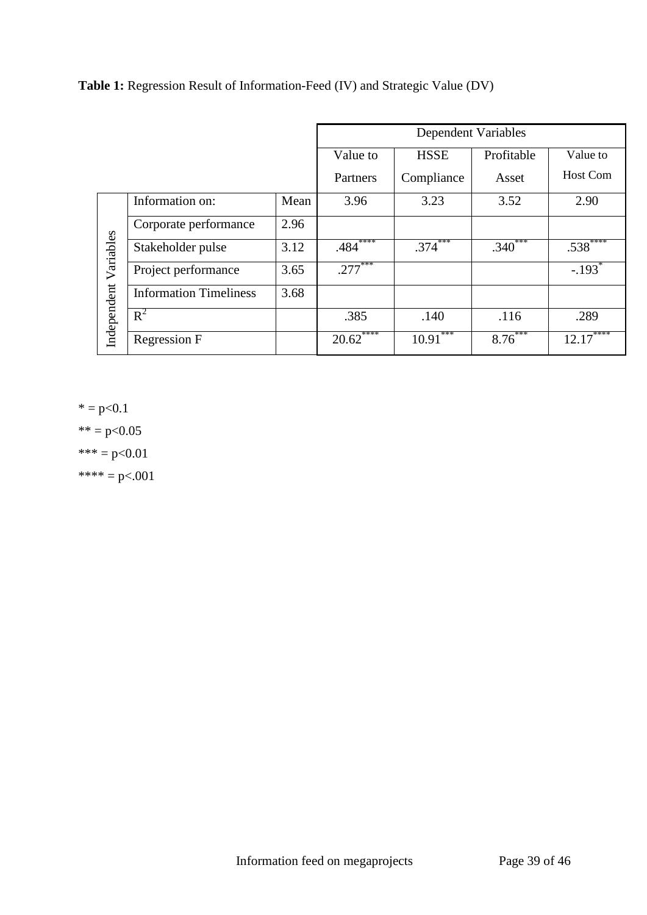| Table 1: Regression Result of Information-Feed (IV) and Strategic Value (DV) |  |
|------------------------------------------------------------------------------|--|
|------------------------------------------------------------------------------|--|

|                          |                               |          | Dependent Variables       |                            |           |                      |  |  |  |
|--------------------------|-------------------------------|----------|---------------------------|----------------------------|-----------|----------------------|--|--|--|
|                          |                               | Value to | <b>HSSE</b>               | Profitable                 | Value to  |                      |  |  |  |
|                          |                               |          | Partners                  | Compliance                 | Asset     | <b>Host Com</b>      |  |  |  |
|                          | Information on:               | Mean     | 3.96                      | 3.23                       | 3.52      | 2.90                 |  |  |  |
| Variables<br>Independent | Corporate performance         | 2.96     |                           |                            |           |                      |  |  |  |
|                          | Stakeholder pulse             | 3.12     | $.484$ <sup>****</sup>    | ***<br>$.374$ <sup>2</sup> | $.340***$ | $.538$ ****          |  |  |  |
|                          | Project performance           | 3.65     | $.277***$                 |                            |           | $-.193$ <sup>*</sup> |  |  |  |
|                          | <b>Information Timeliness</b> | 3.68     |                           |                            |           |                      |  |  |  |
|                          | $R^2$                         |          | .385                      | .140                       | .116      | .289                 |  |  |  |
|                          | Regression F                  |          | ****<br>$20.62^{\degree}$ | ***<br>10.91               | $8.76***$ | ****<br>12.17        |  |  |  |

 $* = p < 0.1$  $** = p < 0.05$ 

\*\*\* =  $p<0.01$ 

\*\*\*\* = p<.001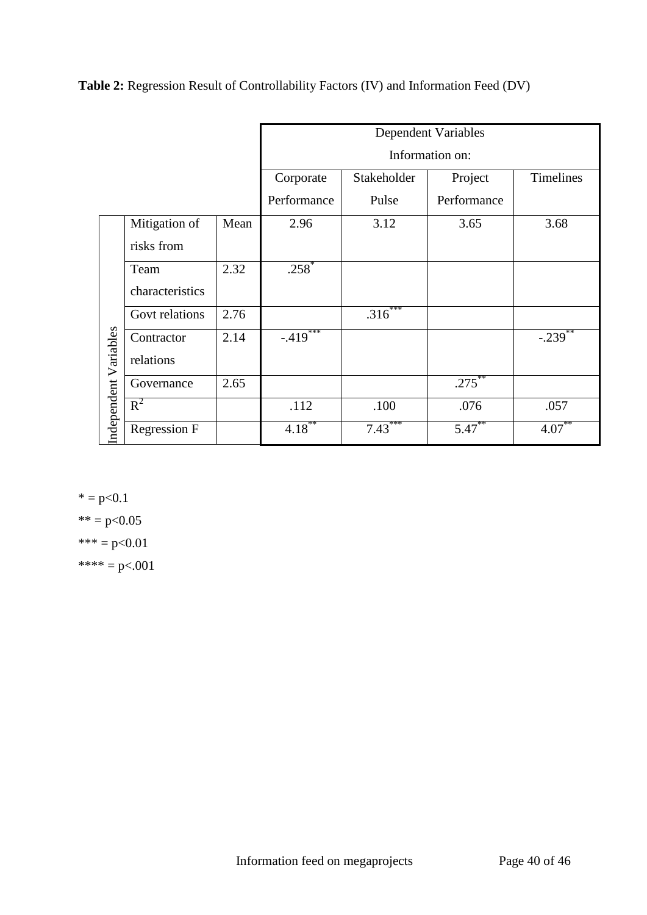**Table 2:** Regression Result of Controllability Factors (IV) and Information Feed (DV)

|                       |                 |      | <b>Dependent Variables</b> |                 |             |             |  |  |  |  |  |
|-----------------------|-----------------|------|----------------------------|-----------------|-------------|-------------|--|--|--|--|--|
|                       |                 |      |                            | Information on: |             |             |  |  |  |  |  |
|                       |                 |      | Corporate                  | Stakeholder     | Project     | Timelines   |  |  |  |  |  |
|                       |                 |      | Performance                | Pulse           | Performance |             |  |  |  |  |  |
|                       | Mitigation of   | Mean | 2.96                       | 3.12            | 3.65        | 3.68        |  |  |  |  |  |
|                       | risks from      |      |                            |                 |             |             |  |  |  |  |  |
|                       | Team            | 2.32 | $.258*$                    |                 |             |             |  |  |  |  |  |
|                       | characteristics |      |                            |                 |             |             |  |  |  |  |  |
|                       | Govt relations  | 2.76 |                            | $.316***$       |             |             |  |  |  |  |  |
|                       | Contractor      | 2.14 | $-419***$                  |                 |             | $-.239$     |  |  |  |  |  |
|                       | relations       |      |                            |                 |             |             |  |  |  |  |  |
|                       | Governance      | 2.65 |                            |                 | $.275***$   |             |  |  |  |  |  |
|                       | $R^2$           |      | .112                       | .100            | .076        | .057        |  |  |  |  |  |
| Independent Variables | Regression F    |      | $4.18^{**}$                | ***<br>7.43     | $5.47***$   | $4.07^{**}$ |  |  |  |  |  |

 $* = p < 0.1$  $** = p < 0.05$  $*** = p<0.01$ \*\*\*\* = p<.001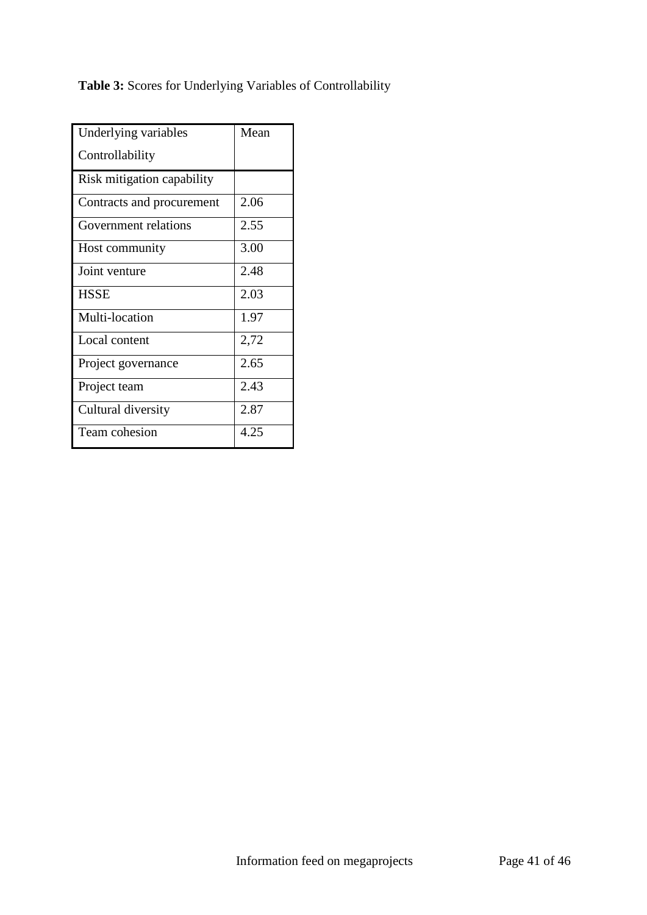# **Table 3:** Scores for Underlying Variables of Controllability

| Underlying variables       | Mean |
|----------------------------|------|
| Controllability            |      |
| Risk mitigation capability |      |
| Contracts and procurement  | 2.06 |
| Government relations       | 2.55 |
| Host community             | 3.00 |
| Joint venture              | 2.48 |
| <b>HSSE</b>                | 2.03 |
| Multi-location             | 1.97 |
| Local content              | 2,72 |
| Project governance         | 2.65 |
| Project team               | 2.43 |
| Cultural diversity         | 2.87 |
| Team cohesion              | 4.25 |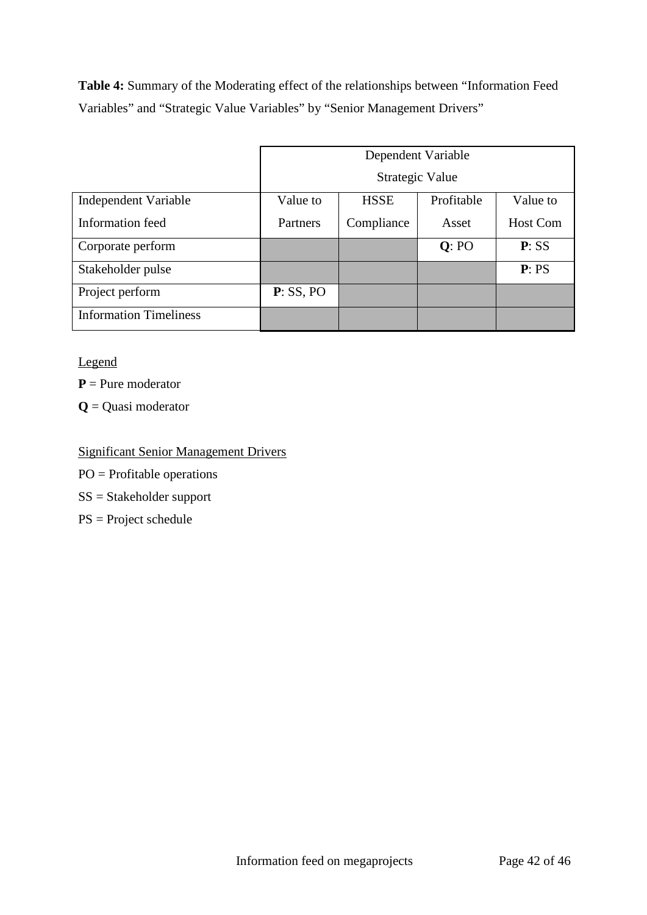**Table 4:** Summary of the Moderating effect of the relationships between "Information Feed Variables" and "Strategic Value Variables" by "Senior Management Drivers"

|                               | Dependent Variable<br>Strategic Value             |            |       |                 |  |  |  |  |
|-------------------------------|---------------------------------------------------|------------|-------|-----------------|--|--|--|--|
| Independent Variable          | Profitable<br><b>HSSE</b><br>Value to<br>Value to |            |       |                 |  |  |  |  |
| Information feed              | Partners                                          | Compliance | Asset | <b>Host Com</b> |  |  |  |  |
| Corporate perform             |                                                   |            | Q: PO | P:SS            |  |  |  |  |
| Stakeholder pulse             |                                                   |            |       | P: PS           |  |  |  |  |
| Project perform               | P: SS, PO                                         |            |       |                 |  |  |  |  |
| <b>Information Timeliness</b> |                                                   |            |       |                 |  |  |  |  |

Legend

**P** = Pure moderator

**Q** = Quasi moderator

Significant Senior Management Drivers

PO = Profitable operations

SS = Stakeholder support

PS = Project schedule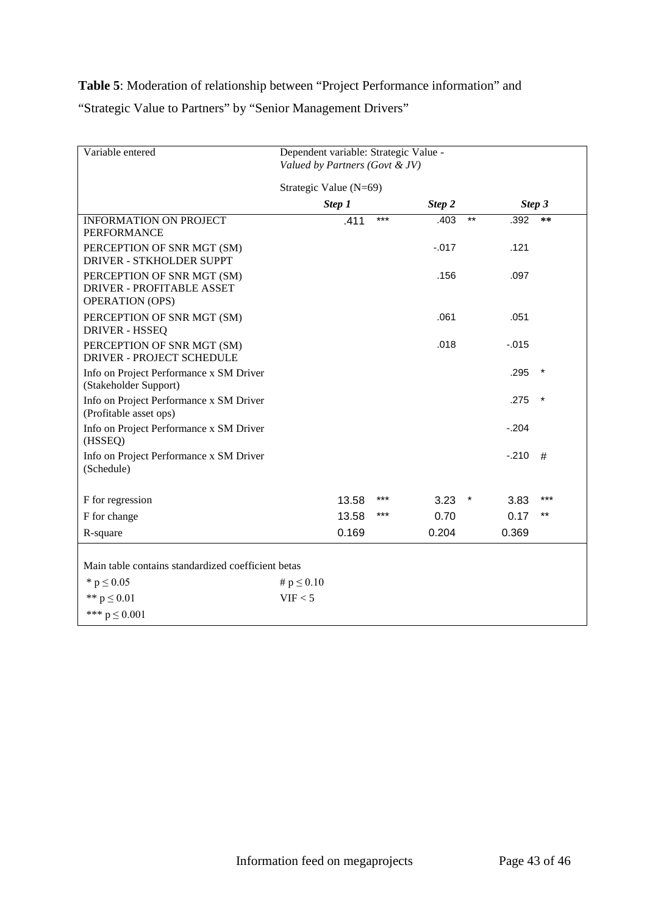# **Table 5**: Moderation of relationship between "Project Performance information" and "Strategic Value to Partners" by "Senior Management Drivers"

| Variable entered                                                                         | Dependent variable: Strategic Value -<br>Valued by Partners (Govt & JV) |       |     |         |       |          |        |
|------------------------------------------------------------------------------------------|-------------------------------------------------------------------------|-------|-----|---------|-------|----------|--------|
|                                                                                          | Strategic Value (N=69)                                                  |       |     |         |       |          |        |
|                                                                                          | <b>Step 1</b><br>Step 2<br>Step 3                                       |       |     |         |       |          |        |
| <b>INFORMATION ON PROJECT</b><br><b>PERFORMANCE</b>                                      |                                                                         | .411  | *** | .403    | $***$ | .392     | $***$  |
| PERCEPTION OF SNR MGT (SM)<br>DRIVER - STKHOLDER SUPPT                                   |                                                                         |       |     | $-.017$ |       | .121     |        |
| PERCEPTION OF SNR MGT (SM)<br><b>DRIVER - PROFITABLE ASSET</b><br><b>OPERATION (OPS)</b> |                                                                         |       |     | .156    |       | .097     |        |
| PERCEPTION OF SNR MGT (SM)<br><b>DRIVER - HSSEQ</b>                                      |                                                                         |       |     | .061    |       | .051     |        |
| PERCEPTION OF SNR MGT (SM)<br><b>DRIVER - PROJECT SCHEDULE</b>                           |                                                                         |       |     | .018    |       | $-0.015$ |        |
| Info on Project Performance x SM Driver<br>(Stakeholder Support)                         |                                                                         |       |     |         |       | .295     |        |
| Info on Project Performance x SM Driver<br>(Profitable asset ops)                        |                                                                         |       |     |         |       | .275     | $\ast$ |
| Info on Project Performance x SM Driver<br>(HSSEQ)                                       |                                                                         |       |     |         |       | $-204$   |        |
| Info on Project Performance x SM Driver<br>(Schedule)                                    |                                                                         |       |     |         |       | $-.210$  | #      |
| F for regression                                                                         |                                                                         | 13.58 | *** | 3.23    |       | 3.83     | ***    |
| F for change                                                                             |                                                                         | 13.58 | *** | 0.70    |       | 0.17     | $***$  |
| R-square                                                                                 |                                                                         | 0.169 |     | 0.204   |       | 0.369    |        |
| Main table contains standardized coefficient betas                                       |                                                                         |       |     |         |       |          |        |
| * $p \le 0.05$                                                                           | # $p \le 0.10$                                                          |       |     |         |       |          |        |
| ** $p \le 0.01$                                                                          | VIF < 5                                                                 |       |     |         |       |          |        |
| *** $p \le 0.001$                                                                        |                                                                         |       |     |         |       |          |        |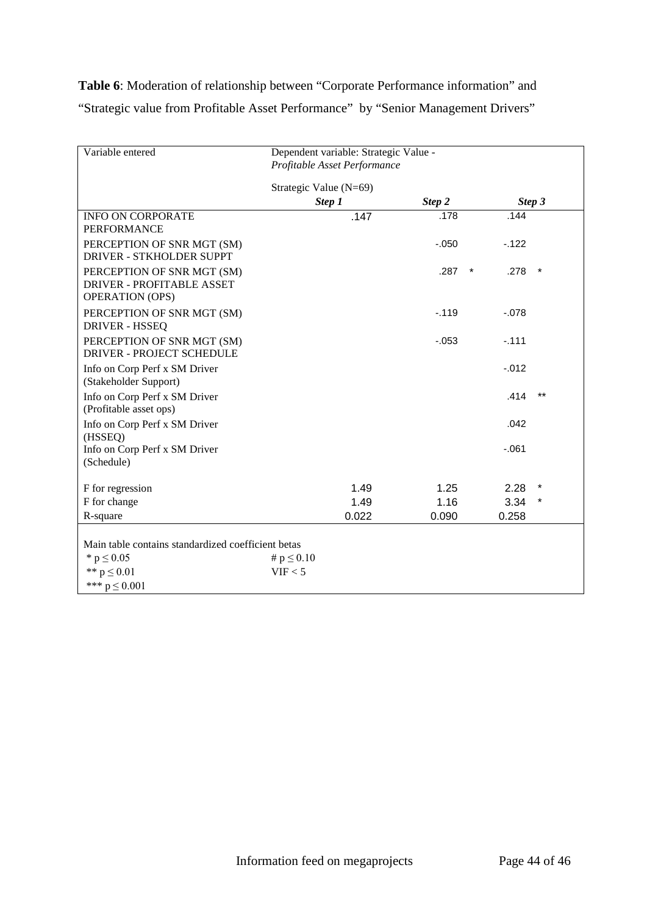**Table 6**: Moderation of relationship between "Corporate Performance information" and "Strategic value from Profitable Asset Performance" by "Senior Management Drivers"

| Variable entered                                                                         | Dependent variable: Strategic Value -<br>Profitable Asset Performance |                |                 |  |  |  |  |
|------------------------------------------------------------------------------------------|-----------------------------------------------------------------------|----------------|-----------------|--|--|--|--|
|                                                                                          | Strategic Value (N=69)                                                |                |                 |  |  |  |  |
|                                                                                          | Step 1                                                                | Step 2         | Step 3          |  |  |  |  |
| <b>INFO ON CORPORATE</b><br><b>PERFORMANCE</b>                                           | .147                                                                  | .178           | .144            |  |  |  |  |
| PERCEPTION OF SNR MGT (SM)<br><b>DRIVER - STKHOLDER SUPPT</b>                            |                                                                       | $-0.050$       | $-122$          |  |  |  |  |
| PERCEPTION OF SNR MGT (SM)<br><b>DRIVER - PROFITABLE ASSET</b><br><b>OPERATION (OPS)</b> |                                                                       | $\ast$<br>.287 | $\star$<br>.278 |  |  |  |  |
| PERCEPTION OF SNR MGT (SM)<br><b>DRIVER - HSSEQ</b>                                      |                                                                       | $-119$         | $-.078$         |  |  |  |  |
| PERCEPTION OF SNR MGT (SM)<br>DRIVER - PROJECT SCHEDULE                                  |                                                                       | $-.053$        | $-.111$         |  |  |  |  |
| Info on Corp Perf x SM Driver<br>(Stakeholder Support)                                   |                                                                       |                | $-0.012$        |  |  |  |  |
| Info on Corp Perf x SM Driver<br>(Profitable asset ops)                                  |                                                                       |                | .414<br>$***$   |  |  |  |  |
| Info on Corp Perf x SM Driver<br>(HSSEQ)                                                 |                                                                       |                | .042            |  |  |  |  |
| Info on Corp Perf x SM Driver<br>(Schedule)                                              |                                                                       |                | $-.061$         |  |  |  |  |
| F for regression                                                                         | 1.49                                                                  | 1.25           | 2.28            |  |  |  |  |
| F for change                                                                             | 1.49                                                                  | 1.16           | 3.34            |  |  |  |  |
| R-square                                                                                 | 0.022                                                                 | 0.090          | 0.258           |  |  |  |  |
| Main table contains standardized coefficient betas<br>* $p \le 0.05$<br>** $p \le 0.01$  | # $p \le 0.10$<br>VIF < 5                                             |                |                 |  |  |  |  |
| *** $p \le 0.001$                                                                        |                                                                       |                |                 |  |  |  |  |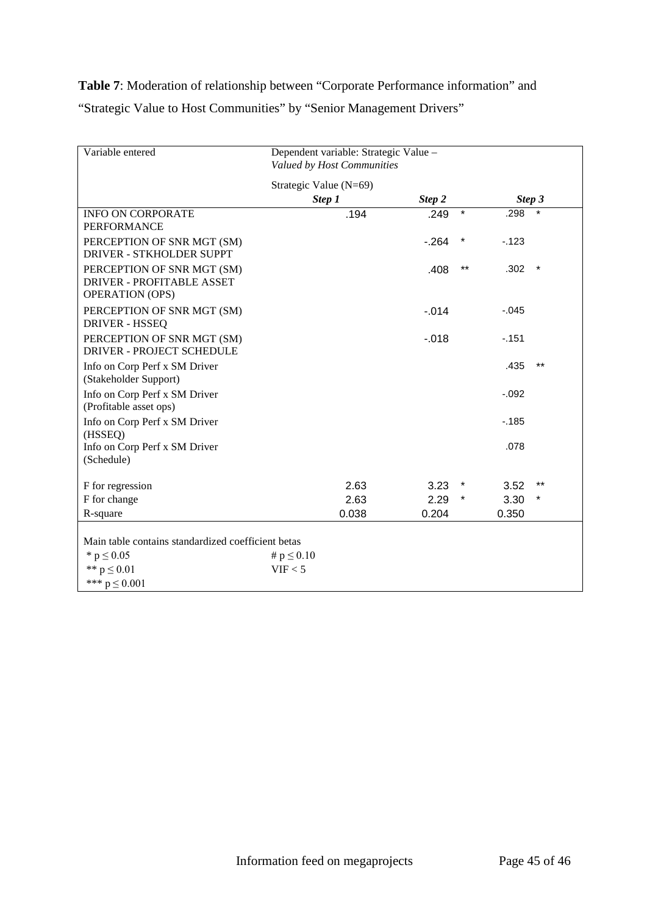**Table 7**: Moderation of relationship between "Corporate Performance information" and "Strategic Value to Host Communities" by "Senior Management Drivers"

| Variable entered                                                                         | Dependent variable: Strategic Value -<br>Valued by Host Communities |          |          |         |         |
|------------------------------------------------------------------------------------------|---------------------------------------------------------------------|----------|----------|---------|---------|
|                                                                                          | Strategic Value (N=69)                                              |          |          |         |         |
|                                                                                          | Step 1                                                              | Step 2   |          | Step 3  |         |
| <b>INFO ON CORPORATE</b><br><b>PERFORMANCE</b>                                           | .194                                                                | .249     | $\star$  | .298    | $\star$ |
| PERCEPTION OF SNR MGT (SM)<br><b>DRIVER - STKHOLDER SUPPT</b>                            |                                                                     | $-264$   | $^\star$ | $-123$  |         |
| PERCEPTION OF SNR MGT (SM)<br><b>DRIVER - PROFITABLE ASSET</b><br><b>OPERATION (OPS)</b> |                                                                     | .408     | $***$    | .302    | $\ast$  |
| PERCEPTION OF SNR MGT (SM)<br>DRIVER - HSSEQ                                             |                                                                     | $-0.014$ |          | $-.045$ |         |
| PERCEPTION OF SNR MGT (SM)<br><b>DRIVER - PROJECT SCHEDULE</b>                           |                                                                     | $-0.018$ |          | $-151$  |         |
| Info on Corp Perf x SM Driver<br>(Stakeholder Support)                                   |                                                                     |          |          | .435    | $***$   |
| Info on Corp Perf x SM Driver<br>(Profitable asset ops)                                  |                                                                     |          |          | $-.092$ |         |
| Info on Corp Perf x SM Driver<br>(HSSEQ)                                                 |                                                                     |          |          | $-185$  |         |
| Info on Corp Perf x SM Driver<br>(Schedule)                                              |                                                                     |          |          | .078    |         |
| F for regression                                                                         | 2.63                                                                | 3.23     |          | 3.52    | $***$   |
| F for change                                                                             | 2.63                                                                | 2.29     | *        | 3.30    |         |
| R-square                                                                                 | 0.038                                                               | 0.204    |          | 0.350   |         |
| Main table contains standardized coefficient betas<br>* $p \le 0.05$<br>** $p \le 0.01$  | # $p \le 0.10$<br>VIF < 5                                           |          |          |         |         |
| *** $p \le 0.001$                                                                        |                                                                     |          |          |         |         |